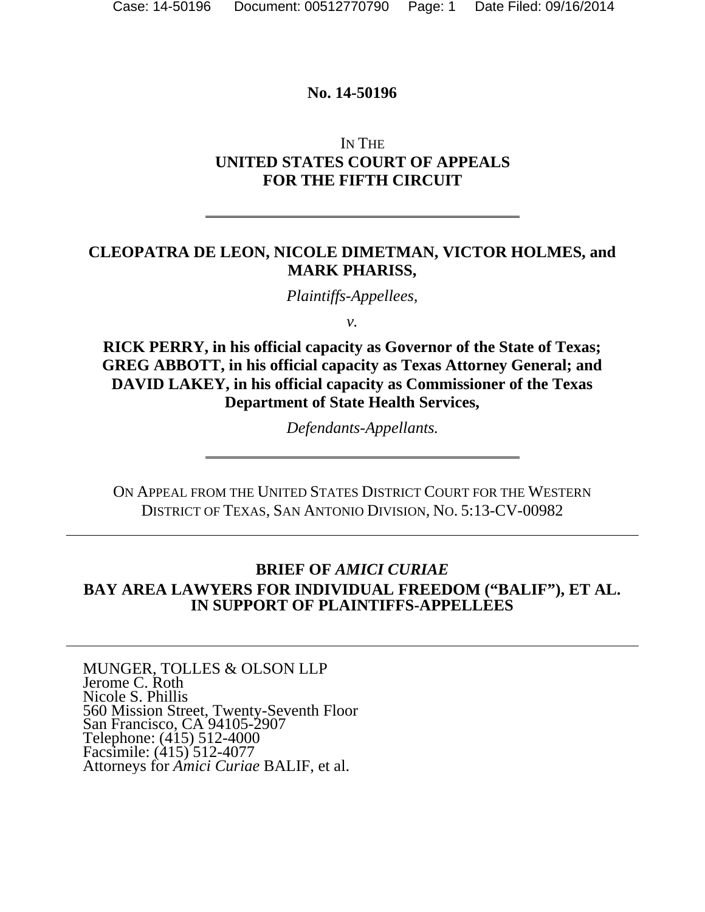#### **No. 14-50196**

## IN THE **UNITED STATES COURT OF APPEALS FOR THE FIFTH CIRCUIT**

### **CLEOPATRA DE LEON, NICOLE DIMETMAN, VICTOR HOLMES, and MARK PHARISS,**

*Plaintiffs-Appellees,* 

*v.* 

**RICK PERRY, in his official capacity as Governor of the State of Texas; GREG ABBOTT, in his official capacity as Texas Attorney General; and DAVID LAKEY, in his official capacity as Commissioner of the Texas Department of State Health Services,** 

*Defendants-Appellants.* 

ON APPEAL FROM THE UNITED STATES DISTRICT COURT FOR THE WESTERN DISTRICT OF TEXAS, SAN ANTONIO DIVISION, NO. 5:13-CV-00982

## **BRIEF OF** *AMICI CURIAE* **BAY AREA LAWYERS FOR INDIVIDUAL FREEDOM ("BALIF"), ET AL. IN SUPPORT OF PLAINTIFFS-APPELLEES**

MUNGER, TOLLES & OLSON LLP Jerome C. Roth Nicole S. Phillis 560 Mission Street, Twenty-Seventh Floor San Francisco, CA 94105-2907 Telephone: (415) 512-4000 Facsimile: (415) 512-4077 Attorneys for *Amici Curiae* BALIF, et al.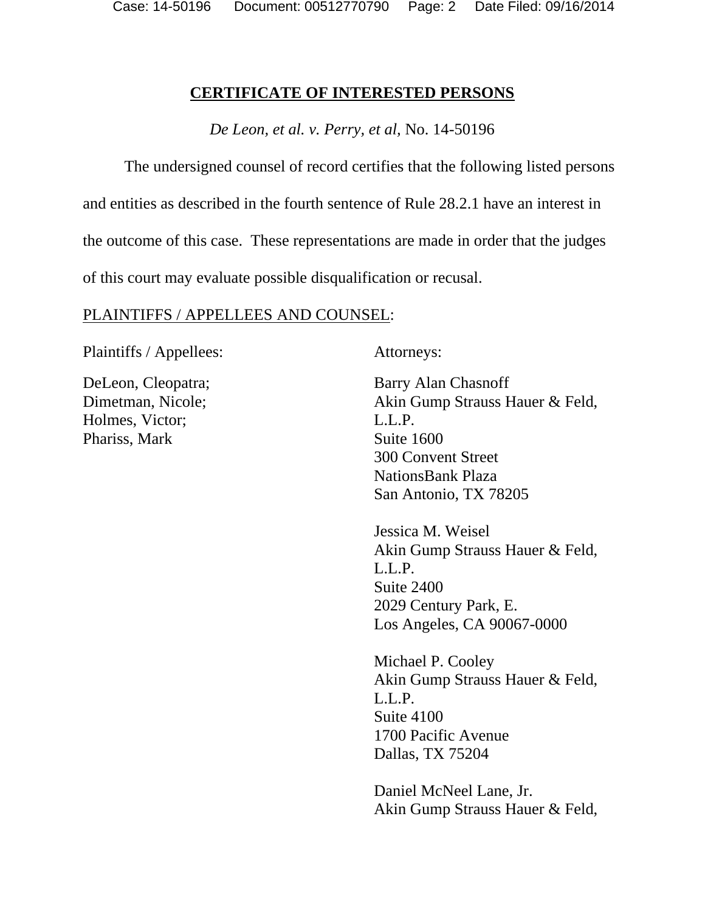#### **CERTIFICATE OF INTERESTED PERSONS**

*De Leon, et al. v. Perry, et al,* No. 14-50196

The undersigned counsel of record certifies that the following listed persons and entities as described in the fourth sentence of Rule 28.2.1 have an interest in the outcome of this case. These representations are made in order that the judges of this court may evaluate possible disqualification or recusal.

#### PLAINTIFFS / APPELLEES AND COUNSEL:

Plaintiffs / Appellees: Attorneys:

DeLeon, Cleopatra; Dimetman, Nicole; Holmes, Victor; Phariss, Mark

Barry Alan Chasnoff Akin Gump Strauss Hauer & Feld, L.L.P. Suite 1600 300 Convent Street NationsBank Plaza San Antonio, TX 78205

Jessica M. Weisel Akin Gump Strauss Hauer & Feld, L.L.P. Suite 2400 2029 Century Park, E. Los Angeles, CA 90067-0000

Michael P. Cooley Akin Gump Strauss Hauer & Feld, L.L.P. Suite 4100 1700 Pacific Avenue Dallas, TX 75204

Daniel McNeel Lane, Jr. Akin Gump Strauss Hauer & Feld,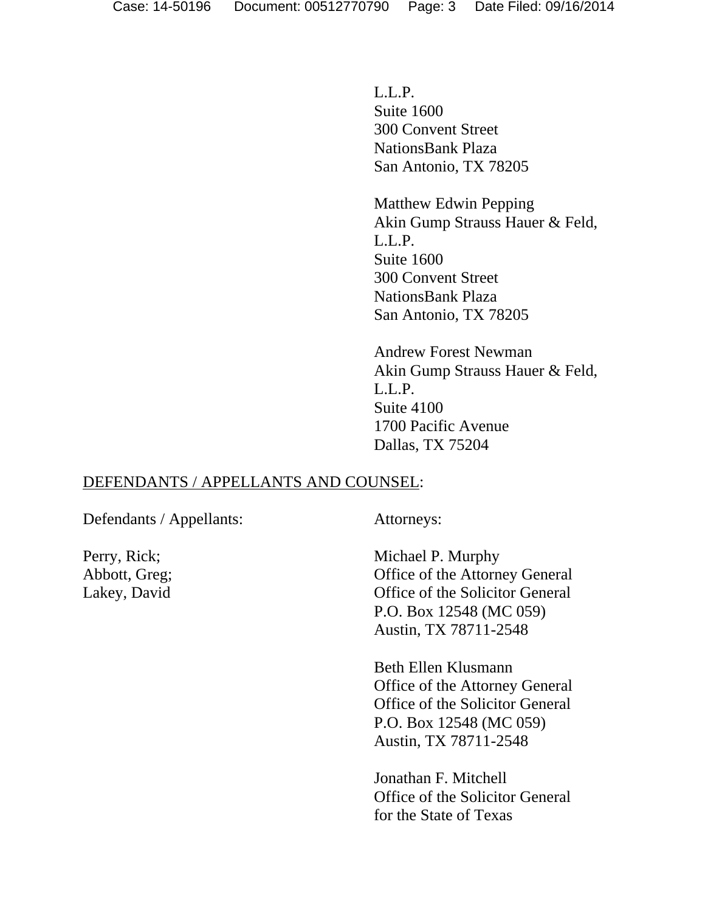L.L.P. Suite 1600 300 Convent Street NationsBank Plaza San Antonio, TX 78205

Matthew Edwin Pepping Akin Gump Strauss Hauer & Feld, L.L.P. Suite 1600 300 Convent Street NationsBank Plaza San Antonio, TX 78205

Andrew Forest Newman Akin Gump Strauss Hauer & Feld, L.L.P. Suite 4100 1700 Pacific Avenue Dallas, TX 75204

#### DEFENDANTS / APPELLANTS AND COUNSEL:

Defendants / Appellants: Attorneys:

Perry, Rick; Abbott, Greg; Lakey, David

Michael P. Murphy Office of the Attorney General Office of the Solicitor General P.O. Box 12548 (MC 059) Austin, TX 78711-2548

Beth Ellen Klusmann Office of the Attorney General Office of the Solicitor General P.O. Box 12548 (MC 059) Austin, TX 78711-2548

Jonathan F. Mitchell Office of the Solicitor General for the State of Texas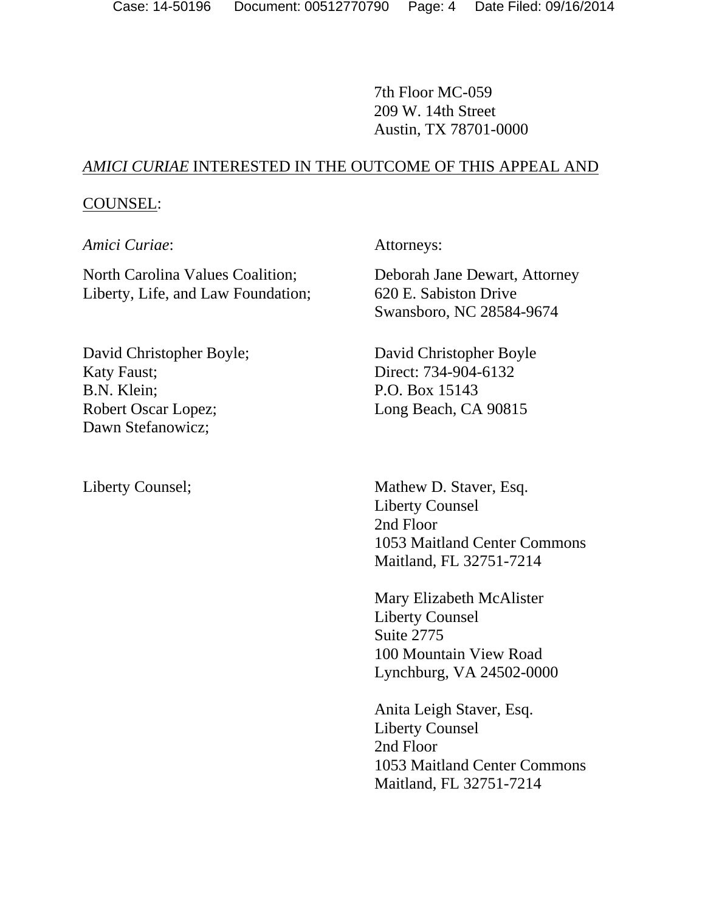7th Floor MC-059 209 W. 14th Street Austin, TX 78701-0000

### *AMICI CURIAE* INTERESTED IN THE OUTCOME OF THIS APPEAL AND

#### COUNSEL:

*Amici Curiae*: Attorneys:

North Carolina Values Coalition; Liberty, Life, and Law Foundation;

David Christopher Boyle; Katy Faust; B.N. Klein; Robert Oscar Lopez; Dawn Stefanowicz;

Deborah Jane Dewart, Attorney 620 E. Sabiston Drive Swansboro, NC 28584-9674

David Christopher Boyle Direct: 734-904-6132 P.O. Box 15143 Long Beach, CA 90815

Liberty Counsel; Mathew D. Staver, Esq. Liberty Counsel 2nd Floor 1053 Maitland Center Commons Maitland, FL 32751-7214

> Mary Elizabeth McAlister Liberty Counsel Suite 2775 100 Mountain View Road Lynchburg, VA 24502-0000

Anita Leigh Staver, Esq. Liberty Counsel 2nd Floor 1053 Maitland Center Commons Maitland, FL 32751-7214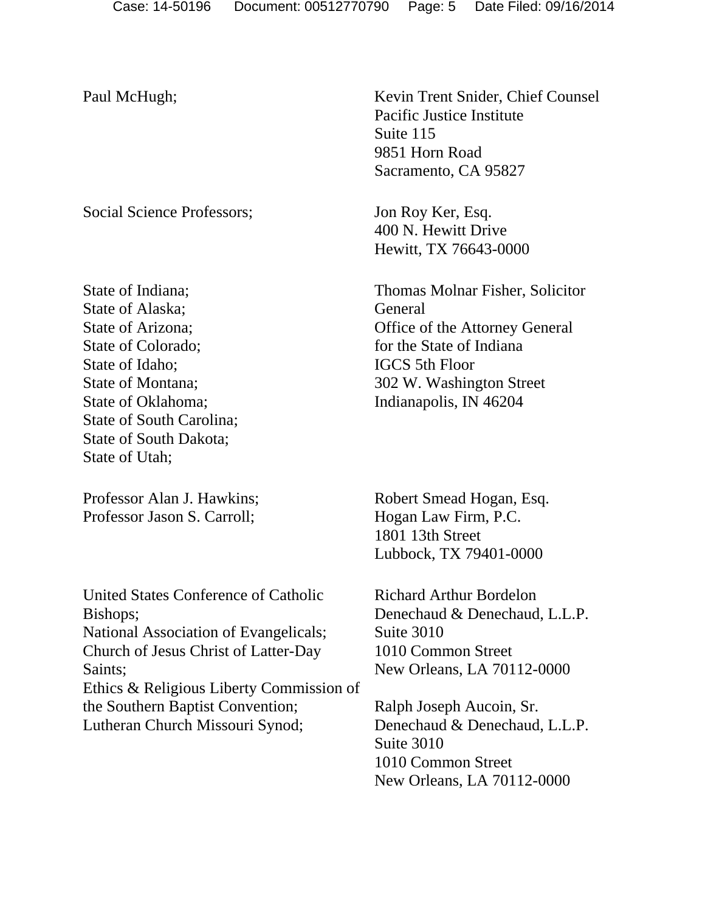Social Science Professors; Jon Roy Ker, Esq.

State of Indiana; State of Alaska; State of Arizona; State of Colorado; State of Idaho; State of Montana; State of Oklahoma; State of South Carolina; State of South Dakota; State of Utah;

Professor Alan J. Hawkins; Professor Jason S. Carroll;

United States Conference of Catholic Bishops; National Association of Evangelicals; Church of Jesus Christ of Latter-Day Saints; Ethics & Religious Liberty Commission of the Southern Baptist Convention; Lutheran Church Missouri Synod;

Paul McHugh; Kevin Trent Snider, Chief Counsel Pacific Justice Institute Suite 115 9851 Horn Road Sacramento, CA 95827

> 400 N. Hewitt Drive Hewitt, TX 76643-0000

Thomas Molnar Fisher, Solicitor General Office of the Attorney General for the State of Indiana IGCS 5th Floor 302 W. Washington Street Indianapolis, IN 46204

Robert Smead Hogan, Esq. Hogan Law Firm, P.C. 1801 13th Street Lubbock, TX 79401-0000

Richard Arthur Bordelon Denechaud & Denechaud, L.L.P. Suite 3010 1010 Common Street New Orleans, LA 70112-0000

Ralph Joseph Aucoin, Sr. Denechaud & Denechaud, L.L.P. Suite 3010 1010 Common Street New Orleans, LA 70112-0000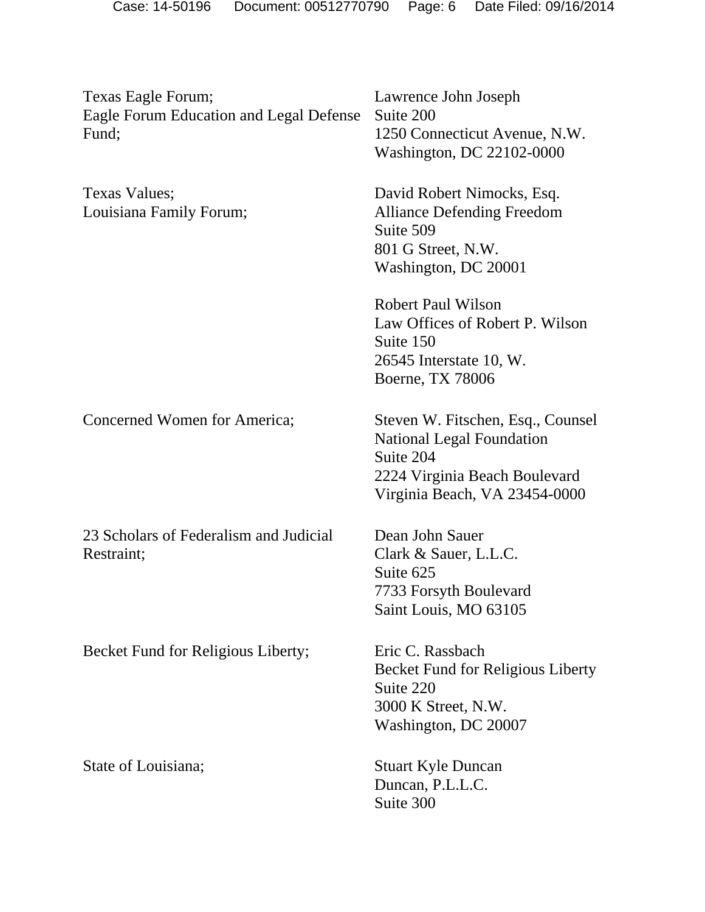| Texas Eagle Forum;<br>Eagle Forum Education and Legal Defense<br>Fund; | Lawrence John Joseph<br>Suite 200<br>1250 Connecticut Avenue, N.W.<br>Washington, DC 22102-0000                                                      |
|------------------------------------------------------------------------|------------------------------------------------------------------------------------------------------------------------------------------------------|
| <b>Texas Values;</b><br>Louisiana Family Forum;                        | David Robert Nimocks, Esq.<br><b>Alliance Defending Freedom</b><br>Suite 509<br>801 G Street, N.W.<br>Washington, DC 20001                           |
|                                                                        | <b>Robert Paul Wilson</b><br>Law Offices of Robert P. Wilson<br>Suite 150<br>26545 Interstate 10, W.<br>Boerne, TX 78006                             |
| Concerned Women for America;                                           | Steven W. Fitschen, Esq., Counsel<br><b>National Legal Foundation</b><br>Suite 204<br>2224 Virginia Beach Boulevard<br>Virginia Beach, VA 23454-0000 |
| 23 Scholars of Federalism and Judicial<br>Restraint;                   | Dean John Sauer<br>Clark & Sauer, L.L.C.<br>Suite 625<br>7733 Forsyth Boulevard<br>Saint Louis, MO 63105                                             |
| Becket Fund for Religious Liberty;                                     | Eric C. Rassbach<br><b>Becket Fund for Religious Liberty</b><br>Suite 220<br>3000 K Street, N.W.<br>Washington, DC 20007                             |
| State of Louisiana;                                                    | <b>Stuart Kyle Duncan</b><br>Duncan, P.L.L.C.<br>Suite 300                                                                                           |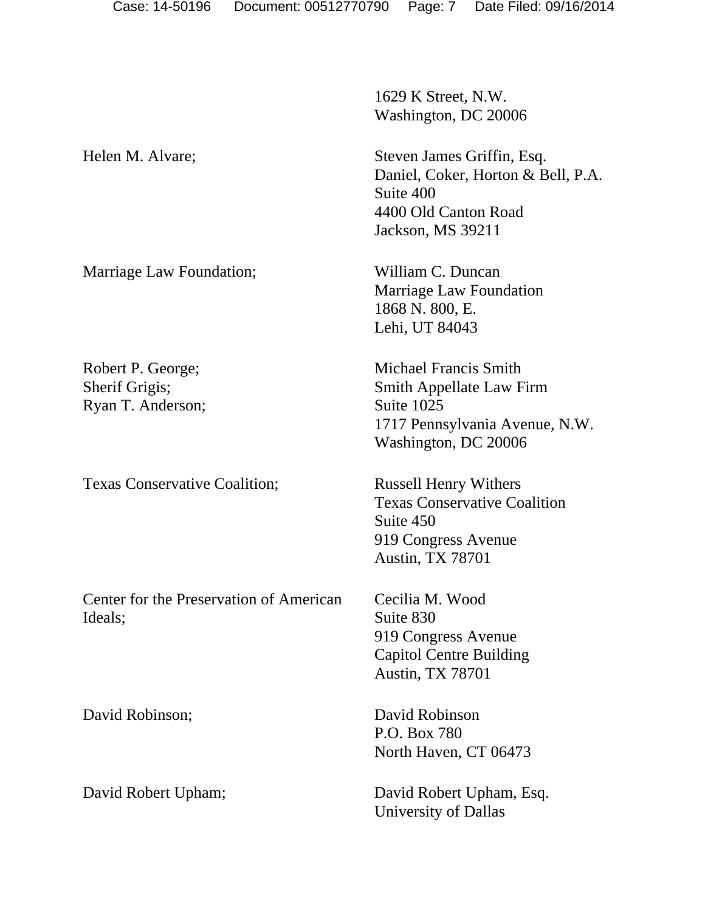1629 K Street, N.W. Washington, DC 20006

Helen M. Alvare; Steven James Griffin, Esq. Daniel, Coker, Horton & Bell, P.A. Suite 400 4400 Old Canton Road Jackson, MS 39211

> Marriage Law Foundation 1868 N. 800, E. Lehi, UT 84043

Michael Francis Smith Smith Appellate Law Firm Suite 1025 1717 Pennsylvania Avenue, N.W. Washington, DC 20006

Texas Conservative Coalition Suite 450 919 Congress Avenue Austin, TX 78701

Cecilia M. Wood Suite 830 919 Congress Avenue Capitol Centre Building Austin, TX 78701

P.O. Box 780 North Haven, CT 06473

David Robert Upham; David Robert Upham, Esq. University of Dallas

Marriage Law Foundation; William C. Duncan

Robert P. George; Sherif Grigis; Ryan T. Anderson;

Texas Conservative Coalition; Russell Henry Withers

Center for the Preservation of American Ideals;

David Robinson; David Robinson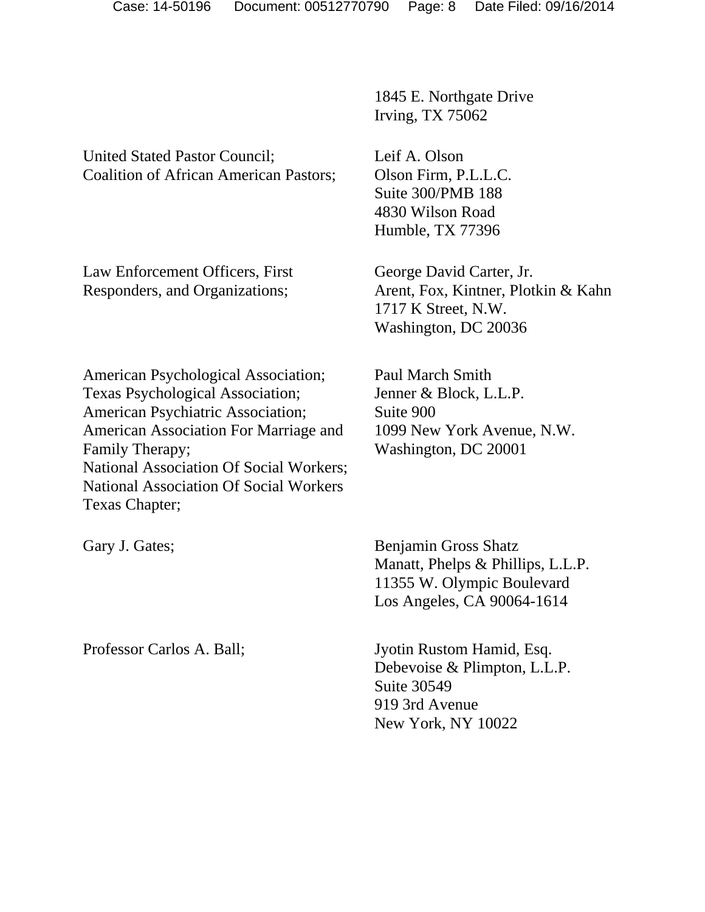United Stated Pastor Council; Coalition of African American Pastors;

Law Enforcement Officers, First Responders, and Organizations;

1845 E. Northgate Drive Irving, TX 75062

Leif A. Olson Olson Firm, P.L.L.C. Suite 300/PMB 188 4830 Wilson Road Humble, TX 77396

George David Carter, Jr. Arent, Fox, Kintner, Plotkin & Kahn 1717 K Street, N.W. Washington, DC 20036

American Psychological Association; Texas Psychological Association; American Psychiatric Association; American Association For Marriage and Family Therapy; National Association Of Social Workers; National Association Of Social Workers Texas Chapter;

Paul March Smith Jenner & Block, L.L.P. Suite 900 1099 New York Avenue, N.W. Washington, DC 20001

Gary J. Gates; Benjamin Gross Shatz Manatt, Phelps & Phillips, L.L.P. 11355 W. Olympic Boulevard Los Angeles, CA 90064-1614

Professor Carlos A. Ball; Jyotin Rustom Hamid, Esq. Debevoise & Plimpton, L.L.P. Suite 30549 919 3rd Avenue New York, NY 10022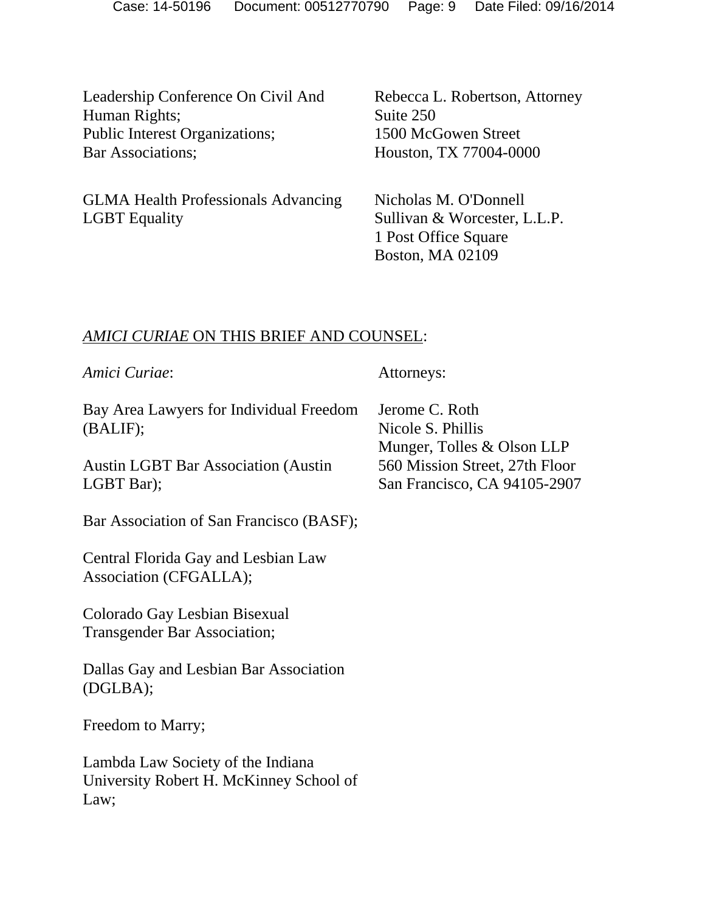Leadership Conference On Civil And Human Rights; Public Interest Organizations; Bar Associations;

GLMA Health Professionals Advancing LGBT Equality

Rebecca L. Robertson, Attorney Suite 250 1500 McGowen Street Houston, TX 77004-0000

Nicholas M. O'Donnell Sullivan & Worcester, L.L.P. 1 Post Office Square Boston, MA 02109

### *AMICI CURIAE* ON THIS BRIEF AND COUNSEL:

| Amici Curiae:                                                                        | Attorneys:                                                        |
|--------------------------------------------------------------------------------------|-------------------------------------------------------------------|
| Bay Area Lawyers for Individual Freedom<br>(BALIF);                                  | Jerome C. Roth<br>Nicole S. Phillis<br>Munger, Tolles & Olson LLP |
| <b>Austin LGBT Bar Association (Austin)</b><br>LGBT Bar);                            | 560 Mission Street, 27th Floor<br>San Francisco, CA 94105-2907    |
| Bar Association of San Francisco (BASF);                                             |                                                                   |
| Central Florida Gay and Lesbian Law<br>Association (CFGALLA);                        |                                                                   |
| Colorado Gay Lesbian Bisexual<br><b>Transgender Bar Association;</b>                 |                                                                   |
| Dallas Gay and Lesbian Bar Association<br>(DGLBA);                                   |                                                                   |
| Freedom to Marry;                                                                    |                                                                   |
| Lambda Law Society of the Indiana<br>University Robert H. McKinney School of<br>Law; |                                                                   |
|                                                                                      |                                                                   |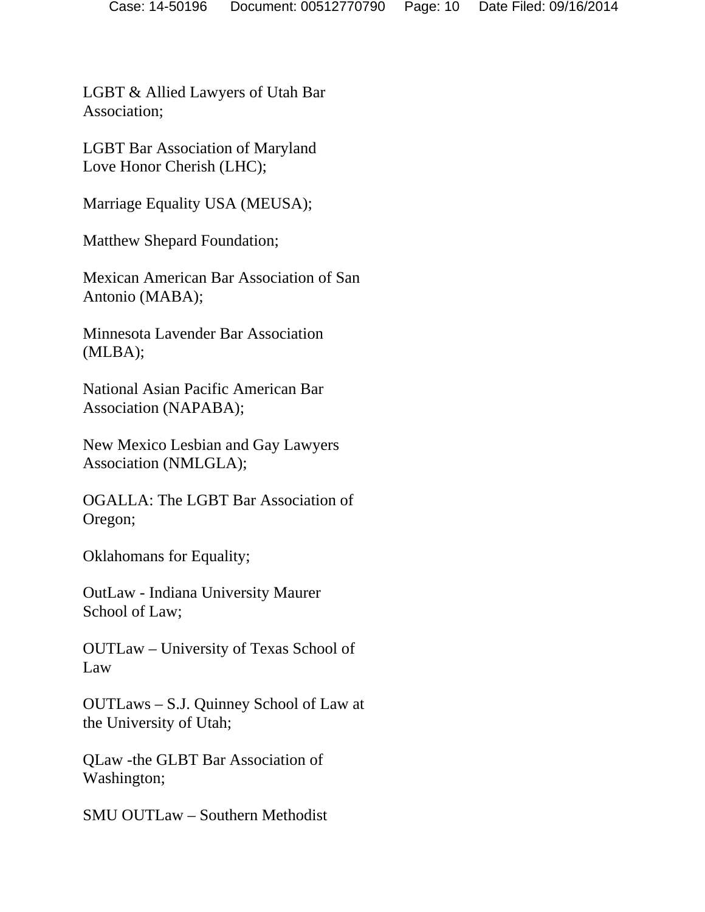LGBT & Allied Lawyers of Utah Bar Association;

LGBT Bar Association of Maryland Love Honor Cherish (LHC);

Marriage Equality USA (MEUSA);

Matthew Shepard Foundation;

Mexican American Bar Association of San Antonio (MABA);

Minnesota Lavender Bar Association (MLBA);

National Asian Pacific American Bar Association (NAPABA);

New Mexico Lesbian and Gay Lawyers Association (NMLGLA);

OGALLA: The LGBT Bar Association of Oregon;

Oklahomans for Equality;

OutLaw - Indiana University Maurer School of Law;

OUTLaw – University of Texas School of Law

OUTLaws – S.J. Quinney School of Law at the University of Utah;

QLaw -the GLBT Bar Association of Washington;

SMU OUTLaw – Southern Methodist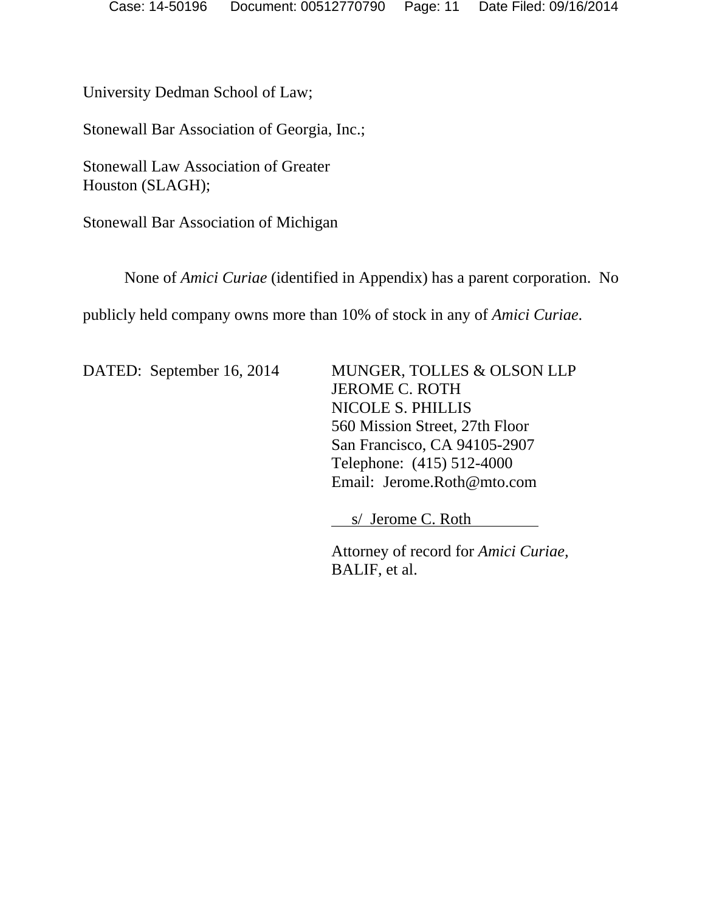University Dedman School of Law;

Stonewall Bar Association of Georgia, Inc.;

Stonewall Law Association of Greater Houston (SLAGH);

Stonewall Bar Association of Michigan

None of *Amici Curiae* (identified in Appendix) has a parent corporation. No

publicly held company owns more than 10% of stock in any of *Amici Curiae*.

DATED: September 16, 2014 MUNGER, TOLLES & OLSON LLP

 JEROME C. ROTH NICOLE S. PHILLIS 560 Mission Street, 27th Floor San Francisco, CA 94105-2907 Telephone: (415) 512-4000 Email: Jerome.Roth@mto.com

s/ Jerome C. Roth

Attorney of record for *Amici Curiae,*  BALIF, et al.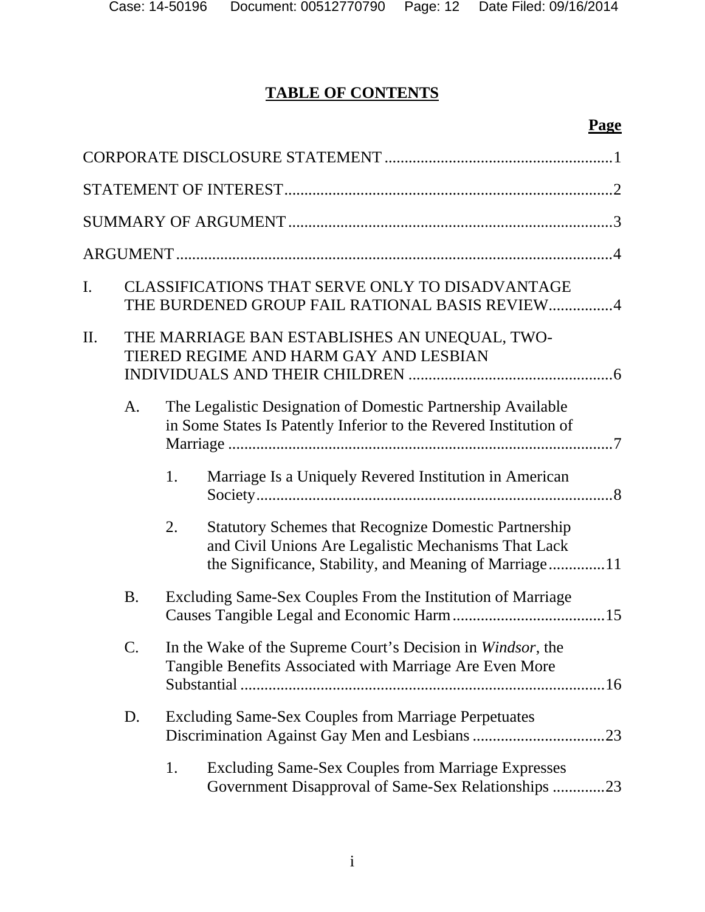# **TABLE OF CONTENTS**

# **Page**

| I. |                 |    | CLASSIFICATIONS THAT SERVE ONLY TO DISADVANTAGE<br>THE BURDENED GROUP FAIL RATIONAL BASIS REVIEW4                                                                              |
|----|-----------------|----|--------------------------------------------------------------------------------------------------------------------------------------------------------------------------------|
| Π. |                 |    | THE MARRIAGE BAN ESTABLISHES AN UNEQUAL, TWO-<br>TIERED REGIME AND HARM GAY AND LESBIAN                                                                                        |
|    | A <sub>1</sub>  |    | The Legalistic Designation of Domestic Partnership Available<br>in Some States Is Patently Inferior to the Revered Institution of                                              |
|    |                 | 1. | Marriage Is a Uniquely Revered Institution in American                                                                                                                         |
|    |                 | 2. | <b>Statutory Schemes that Recognize Domestic Partnership</b><br>and Civil Unions Are Legalistic Mechanisms That Lack<br>the Significance, Stability, and Meaning of Marriage11 |
|    | <b>B.</b>       |    | Excluding Same-Sex Couples From the Institution of Marriage                                                                                                                    |
|    | $\mathcal{C}$ . |    | In the Wake of the Supreme Court's Decision in Windsor, the<br>Tangible Benefits Associated with Marriage Are Even More                                                        |
|    | D.              |    | <b>Excluding Same-Sex Couples from Marriage Perpetuates</b>                                                                                                                    |
|    |                 | 1. | <b>Excluding Same-Sex Couples from Marriage Expresses</b><br>Government Disapproval of Same-Sex Relationships 23                                                               |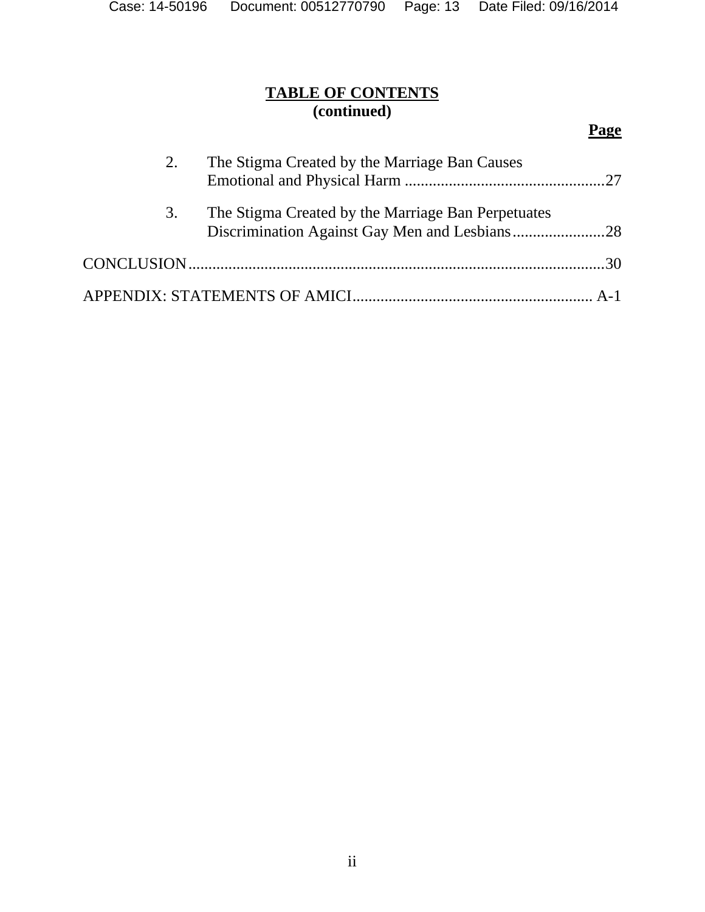# **TABLE OF CONTENTS (continued)**

# **Page**

| 2. | The Stigma Created by the Marriage Ban Causes      |  |
|----|----------------------------------------------------|--|
| 3. | The Stigma Created by the Marriage Ban Perpetuates |  |
|    |                                                    |  |
|    |                                                    |  |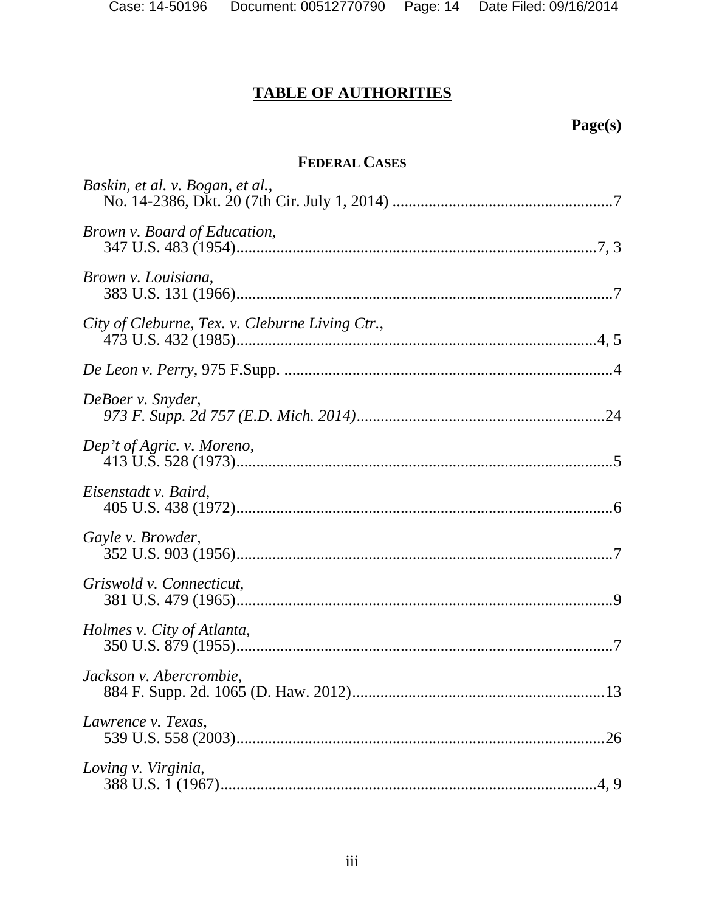# **TABLE OF AUTHORITIES**

# **Page(s)**

# **FEDERAL CASES**

| Baskin, et al. v. Bogan, et al.,                |
|-------------------------------------------------|
| Brown v. Board of Education,                    |
| Brown v. Louisiana,                             |
| City of Cleburne, Tex. v. Cleburne Living Ctr., |
|                                                 |
| DeBoer v. Snyder,                               |
| Dep't of Agric. v. Moreno,                      |
| Eisenstadt v. Baird,                            |
| Gayle v. Browder,                               |
| Griswold v. Connecticut,                        |
| Holmes v. City of Atlanta,                      |
| Jackson v. Abercrombie,                         |
| Lawrence v. Texas,                              |
| Loving v. Virginia,                             |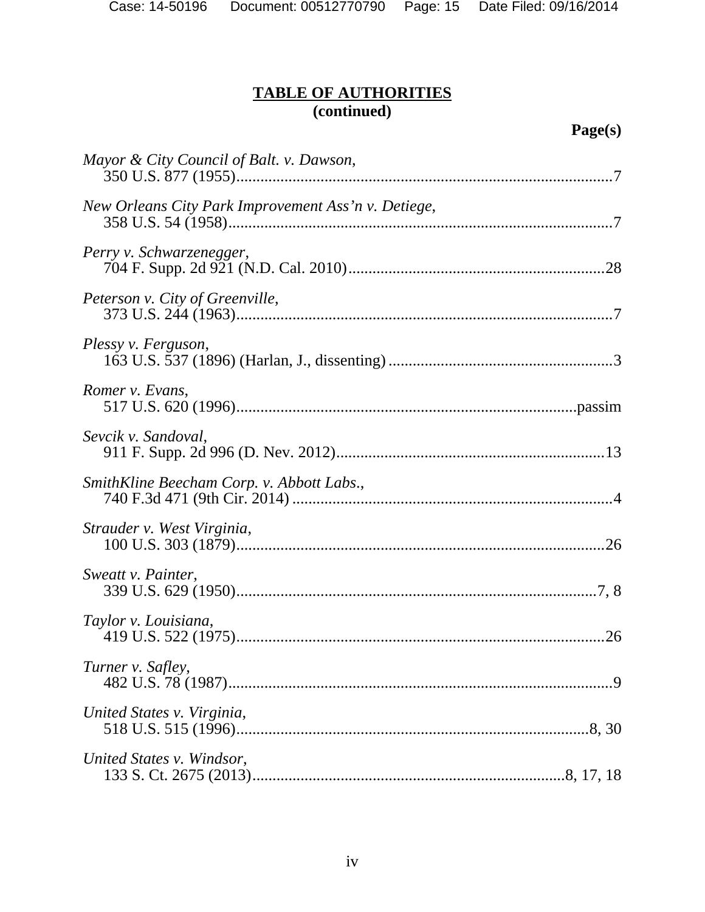# **TABLE OF AUTHORITIES (continued)**

| Mayor & City Council of Balt. v. Dawson,            |
|-----------------------------------------------------|
| New Orleans City Park Improvement Ass'n v. Detiege, |
| Perry v. Schwarzenegger,                            |
| Peterson v. City of Greenville,                     |
| Plessy v. Ferguson,                                 |
| Romer v. Evans,                                     |
| Sevcik v. Sandoval,                                 |
| SmithKline Beecham Corp. v. Abbott Labs.,           |
| Strauder v. West Virginia,                          |
| Sweatt v. Painter,                                  |
| Taylor v. Louisiana,                                |
| Turner v. Safley,                                   |
| United States v. Virginia,                          |
| United States v. Windsor,                           |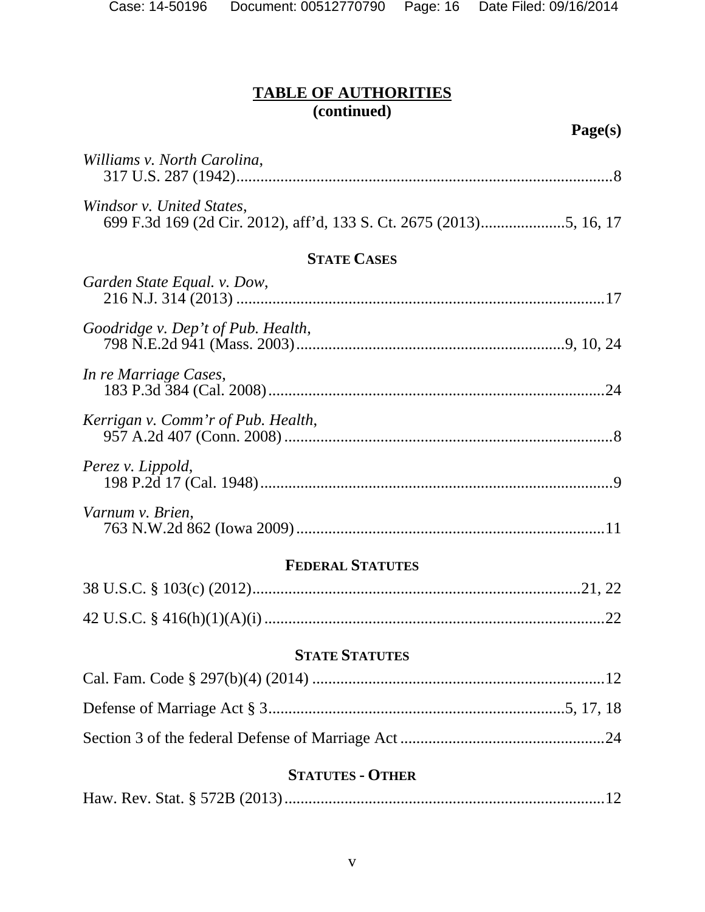# **TABLE OF AUTHORITIES (continued)**

| Williams v. North Carolina,        |
|------------------------------------|
| Windsor v. United States,          |
| <b>STATE CASES</b>                 |
| Garden State Equal. v. Dow,        |
| Goodridge v. Dep't of Pub. Health, |
| In re Marriage Cases,              |
| Kerrigan v. Comm'r of Pub. Health, |
| Perez v. Lippold,                  |
| Varnum v. Brien,                   |
| <b>FEDERAL STATUTES</b>            |
|                                    |
|                                    |
| <b>STATE STATUTES</b>              |
|                                    |
|                                    |
|                                    |
| <b>STATUTES - OTHER</b>            |
|                                    |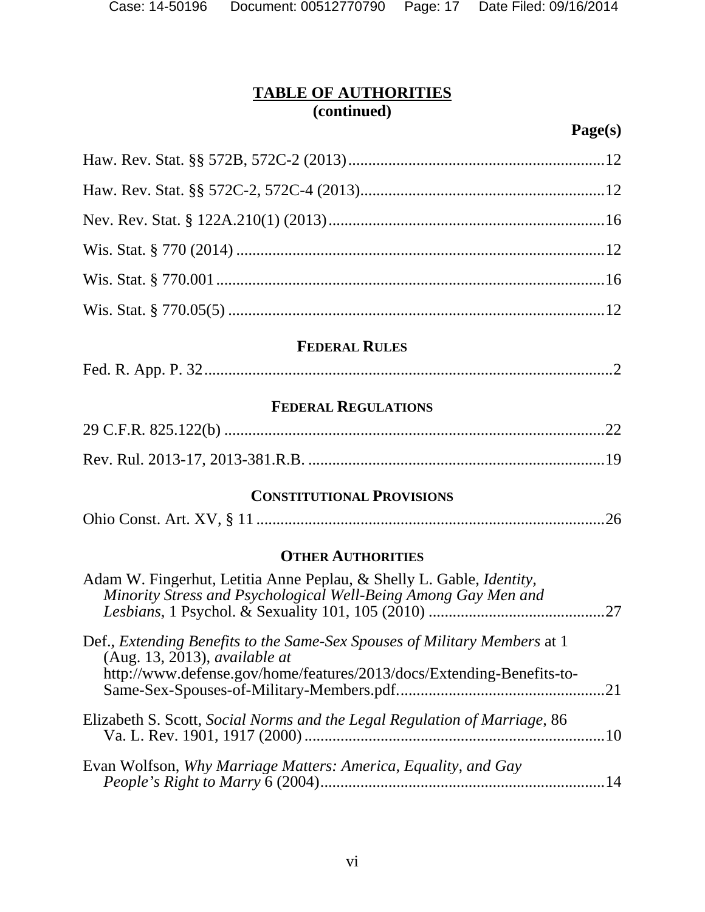| Case: 14-50196 |  |
|----------------|--|
|----------------|--|

# **TABLE OF AUTHORITIES (continued)**

| <b>FEDERAL RULES</b> |  |  |
|----------------------|--|--|
|                      |  |  |
|                      |  |  |
|                      |  |  |
|                      |  |  |
|                      |  |  |
|                      |  |  |

|--|--|

## **FEDERAL REGULATIONS**

# **CONSTITUTIONAL PROVISIONS**

|--|--|

# **OTHER AUTHORITIES**

| Adam W. Fingerhut, Letitia Anne Peplau, & Shelly L. Gable, <i>Identity</i> ,<br>Minority Stress and Psychological Well-Being Among Gay Men and                                      |    |
|-------------------------------------------------------------------------------------------------------------------------------------------------------------------------------------|----|
| Def., Extending Benefits to the Same-Sex Spouses of Military Members at 1<br>(Aug. 13, 2013), available at<br>http://www.defense.gov/home/features/2013/docs/Extending-Benefits-to- |    |
| Elizabeth S. Scott, Social Norms and the Legal Regulation of Marriage, 86                                                                                                           |    |
| Evan Wolfson, Why Marriage Matters: America, Equality, and Gay                                                                                                                      | 14 |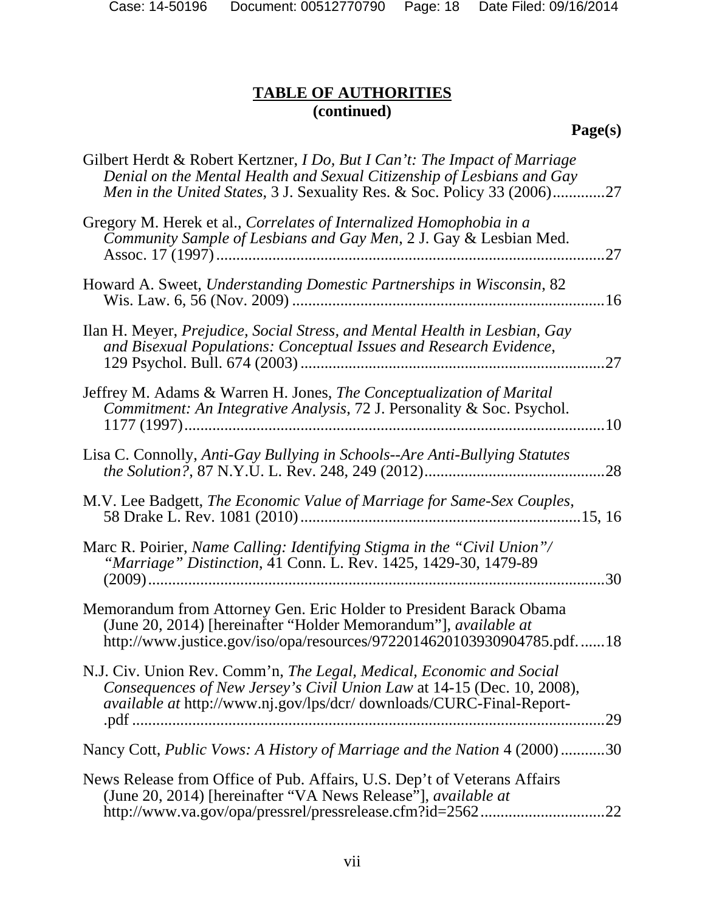Case: 14-50196 Document: 00512770790 Page: 18 Date Filed: 09/16/2014

# **TABLE OF AUTHORITIES (continued)**

# **Page(s)**

| Gilbert Herdt & Robert Kertzner, <i>I Do, But I Can't: The Impact of Marriage</i><br>Denial on the Mental Health and Sexual Citizenship of Lesbians and Gay<br><i>Men in the United States, 3 J. Sexuality Res. &amp; Soc. Policy 33 (2006)27</i> |
|---------------------------------------------------------------------------------------------------------------------------------------------------------------------------------------------------------------------------------------------------|
| Gregory M. Herek et al., Correlates of Internalized Homophobia in a<br>Community Sample of Lesbians and Gay Men, 2 J. Gay & Lesbian Med.<br>.27                                                                                                   |
| Howard A. Sweet, Understanding Domestic Partnerships in Wisconsin, 82                                                                                                                                                                             |
| Ilan H. Meyer, Prejudice, Social Stress, and Mental Health in Lesbian, Gay<br>and Bisexual Populations: Conceptual Issues and Research Evidence,<br>.27                                                                                           |
| Jeffrey M. Adams & Warren H. Jones, The Conceptualization of Marital<br>Commitment: An Integrative Analysis, 72 J. Personality & Soc. Psychol.                                                                                                    |
| Lisa C. Connolly, Anti-Gay Bullying in Schools--Are Anti-Bullying Statutes<br>.28                                                                                                                                                                 |
| M.V. Lee Badgett, The Economic Value of Marriage for Same-Sex Couples,                                                                                                                                                                            |
| Marc R. Poirier, Name Calling: Identifying Stigma in the "Civil Union"/<br>"Marriage" Distinction, 41 Conn. L. Rev. 1425, 1429-30, 1479-89<br>.30                                                                                                 |
| Memorandum from Attorney Gen. Eric Holder to President Barack Obama<br>(June 20, 2014) [hereinafter "Holder Memorandum"], available at<br>http://www.justice.gov/iso/opa/resources/9722014620103930904785.pdf18                                   |
| N.J. Civ. Union Rev. Comm'n, The Legal, Medical, Economic and Social<br>Consequences of New Jersey's Civil Union Law at 14-15 (Dec. 10, 2008),<br>available at http://www.nj.gov/lps/dcr/ downloads/CURC-Final-Report-<br>.29                     |
| Nancy Cott, <i>Public Vows: A History of Marriage and the Nation</i> 4 (2000)30                                                                                                                                                                   |
| News Release from Office of Pub. Affairs, U.S. Dep't of Veterans Affairs<br>(June 20, 2014) [hereinafter "VA News Release"], <i>available at</i><br>http://www.va.gov/opa/pressrel/pressrelease.cfm?id=256222                                     |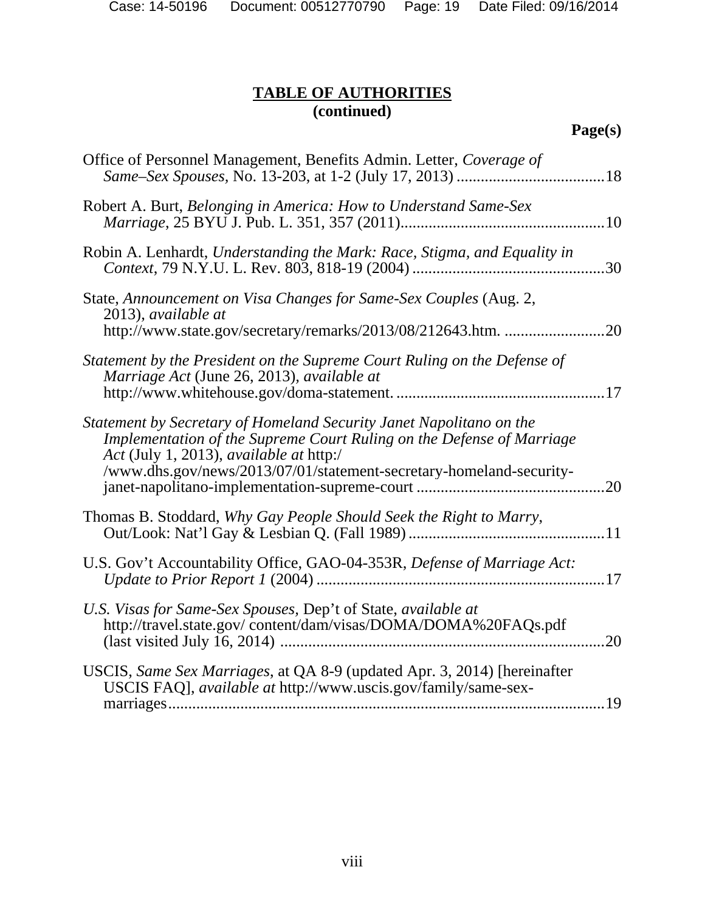Case: 14-50196 Document: 00512770790 Page: 19 Date Filed: 09/16/2014

# **TABLE OF AUTHORITIES (continued)**

| Office of Personnel Management, Benefits Admin. Letter, Coverage of                                                                                                                                                                                            |     |
|----------------------------------------------------------------------------------------------------------------------------------------------------------------------------------------------------------------------------------------------------------------|-----|
| Robert A. Burt, Belonging in America: How to Understand Same-Sex                                                                                                                                                                                               |     |
| Robin A. Lenhardt, Understanding the Mark: Race, Stigma, and Equality in                                                                                                                                                                                       |     |
| State, Announcement on Visa Changes for Same-Sex Couples (Aug. 2,<br>2013), available at<br>http://www.state.gov/secretary/remarks/2013/08/212643.htm.                                                                                                         | .20 |
| Statement by the President on the Supreme Court Ruling on the Defense of<br>Marriage Act (June 26, 2013), available at                                                                                                                                         |     |
| Statement by Secretary of Homeland Security Janet Napolitano on the<br>Implementation of the Supreme Court Ruling on the Defense of Marriage<br>Act (July 1, 2013), available at http:/<br>/www.dhs.gov/news/2013/07/01/statement-secretary-homeland-security- |     |
| Thomas B. Stoddard, Why Gay People Should Seek the Right to Marry,                                                                                                                                                                                             |     |
| U.S. Gov't Accountability Office, GAO-04-353R, Defense of Marriage Act:                                                                                                                                                                                        |     |
| U.S. Visas for Same-Sex Spouses, Dep't of State, available at<br>http://travel.state.gov/content/dam/visas/DOMA/DOMA%20FAQs.pdf                                                                                                                                | 20  |
| USCIS, Same Sex Marriages, at QA 8-9 (updated Apr. 3, 2014) [hereinafter<br>USCIS FAQ], <i>available at http://www.uscis.gov/family/same-sex-</i>                                                                                                              |     |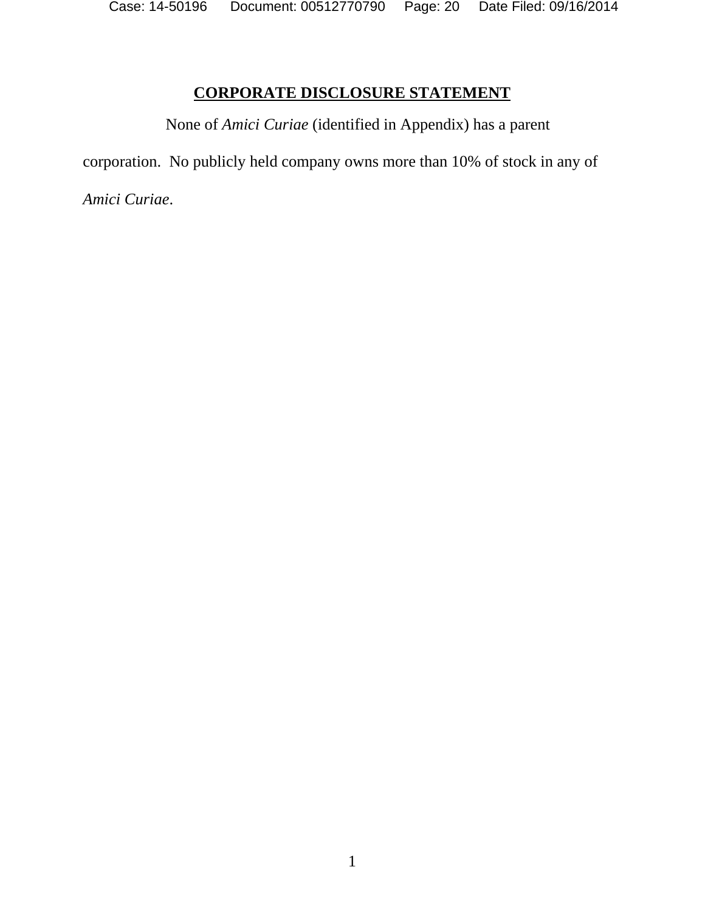Case: 14-50196 Document: 00512770790 Page: 20 Date Filed: 09/16/2014

# **CORPORATE DISCLOSURE STATEMENT**

None of *Amici Curiae* (identified in Appendix) has a parent

corporation. No publicly held company owns more than 10% of stock in any of

*Amici Curiae*.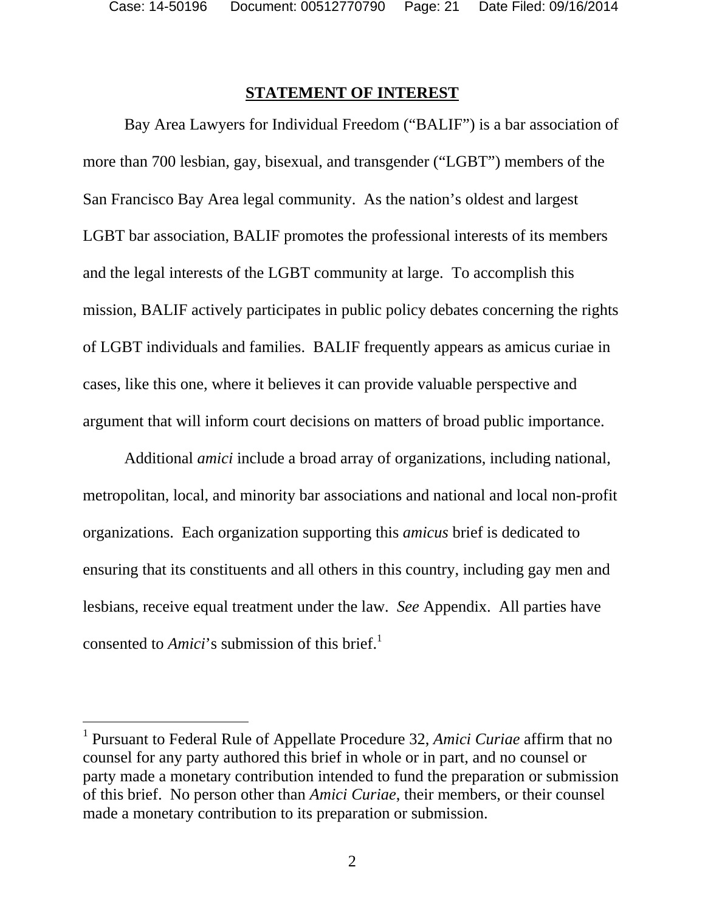$\overline{a}$ 

# **STATEMENT OF INTEREST**

Bay Area Lawyers for Individual Freedom ("BALIF") is a bar association of more than 700 lesbian, gay, bisexual, and transgender ("LGBT") members of the San Francisco Bay Area legal community. As the nation's oldest and largest LGBT bar association, BALIF promotes the professional interests of its members and the legal interests of the LGBT community at large. To accomplish this mission, BALIF actively participates in public policy debates concerning the rights of LGBT individuals and families. BALIF frequently appears as amicus curiae in cases, like this one, where it believes it can provide valuable perspective and argument that will inform court decisions on matters of broad public importance.

Additional *amici* include a broad array of organizations, including national, metropolitan, local, and minority bar associations and national and local non-profit organizations. Each organization supporting this *amicus* brief is dedicated to ensuring that its constituents and all others in this country, including gay men and lesbians, receive equal treatment under the law. *See* Appendix. All parties have consented to *Amici*'s submission of this brief.<sup>1</sup>

<sup>&</sup>lt;sup>1</sup> Pursuant to Federal Rule of Appellate Procedure 32, *Amici Curiae* affirm that no counsel for any party authored this brief in whole or in part, and no counsel or party made a monetary contribution intended to fund the preparation or submission of this brief. No person other than *Amici Curiae*, their members, or their counsel made a monetary contribution to its preparation or submission.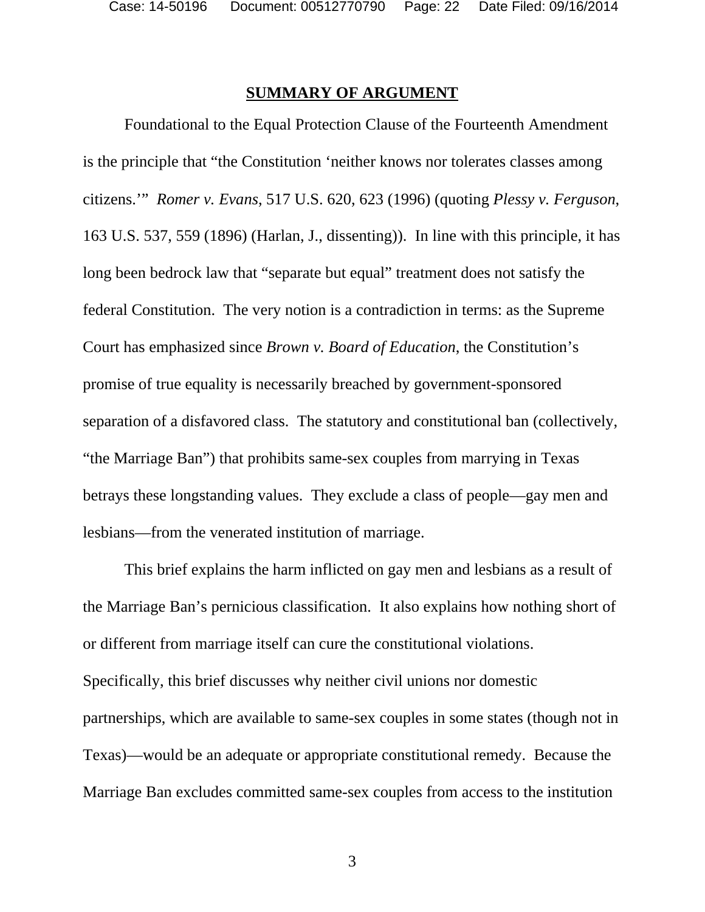#### **SUMMARY OF ARGUMENT**

Foundational to the Equal Protection Clause of the Fourteenth Amendment is the principle that "the Constitution 'neither knows nor tolerates classes among citizens.'" *Romer v. Evans*, 517 U.S. 620, 623 (1996) (quoting *Plessy v. Ferguson*, 163 U.S. 537, 559 (1896) (Harlan, J., dissenting)). In line with this principle, it has long been bedrock law that "separate but equal" treatment does not satisfy the federal Constitution. The very notion is a contradiction in terms: as the Supreme Court has emphasized since *Brown v. Board of Education*, the Constitution's promise of true equality is necessarily breached by government-sponsored separation of a disfavored class. The statutory and constitutional ban (collectively, "the Marriage Ban") that prohibits same-sex couples from marrying in Texas betrays these longstanding values. They exclude a class of people—gay men and lesbians—from the venerated institution of marriage.

This brief explains the harm inflicted on gay men and lesbians as a result of the Marriage Ban's pernicious classification. It also explains how nothing short of or different from marriage itself can cure the constitutional violations. Specifically, this brief discusses why neither civil unions nor domestic partnerships, which are available to same-sex couples in some states (though not in Texas)—would be an adequate or appropriate constitutional remedy. Because the Marriage Ban excludes committed same-sex couples from access to the institution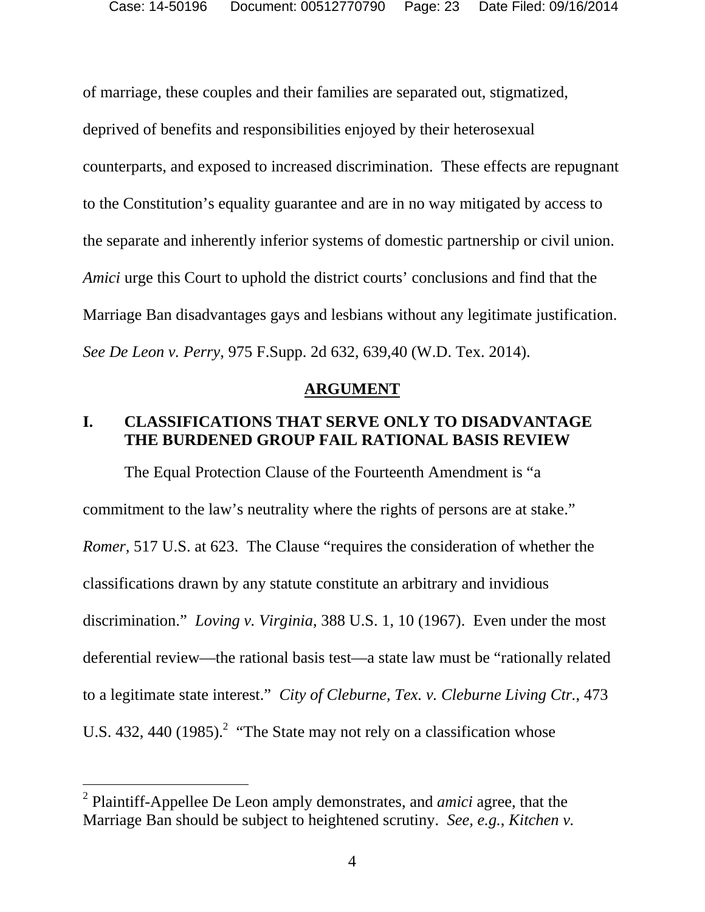of marriage, these couples and their families are separated out, stigmatized, deprived of benefits and responsibilities enjoyed by their heterosexual counterparts, and exposed to increased discrimination. These effects are repugnant to the Constitution's equality guarantee and are in no way mitigated by access to the separate and inherently inferior systems of domestic partnership or civil union. *Amici* urge this Court to uphold the district courts' conclusions and find that the Marriage Ban disadvantages gays and lesbians without any legitimate justification. *See De Leon v. Perry*, 975 F.Supp. 2d 632, 639,40 (W.D. Tex. 2014).

#### **ARGUMENT**

# **I. CLASSIFICATIONS THAT SERVE ONLY TO DISADVANTAGE THE BURDENED GROUP FAIL RATIONAL BASIS REVIEW**

The Equal Protection Clause of the Fourteenth Amendment is "a commitment to the law's neutrality where the rights of persons are at stake." *Romer*, 517 U.S. at 623. The Clause "requires the consideration of whether the classifications drawn by any statute constitute an arbitrary and invidious discrimination." *Loving v. Virginia*, 388 U.S. 1, 10 (1967).Even under the most deferential review—the rational basis test—a state law must be "rationally related to a legitimate state interest." *City of Cleburne, Tex. v. Cleburne Living Ctr.*, 473 U.S. 432, 440  $(1985)$ .<sup>2</sup> "The State may not rely on a classification whose

 $\overline{a}$ 

<sup>2</sup> Plaintiff-Appellee De Leon amply demonstrates, and *amici* agree, that the Marriage Ban should be subject to heightened scrutiny. *See, e.g.*, *Kitchen v.*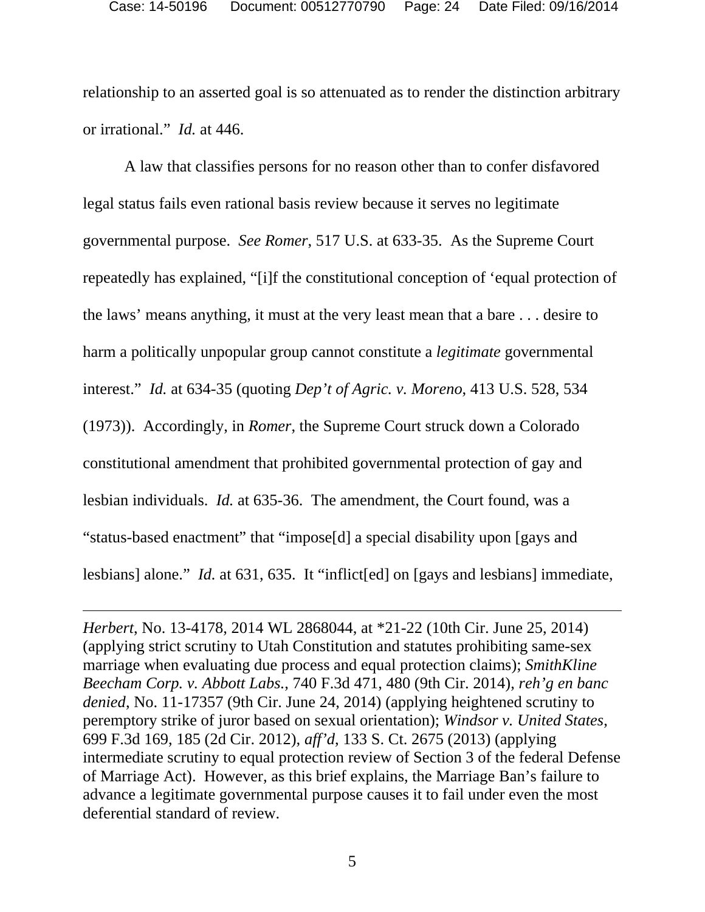relationship to an asserted goal is so attenuated as to render the distinction arbitrary or irrational." *Id.* at 446.

A law that classifies persons for no reason other than to confer disfavored legal status fails even rational basis review because it serves no legitimate governmental purpose. *See Romer*, 517 U.S. at 633-35. As the Supreme Court repeatedly has explained, "[i]f the constitutional conception of 'equal protection of the laws' means anything, it must at the very least mean that a bare . . . desire to harm a politically unpopular group cannot constitute a *legitimate* governmental interest." *Id.* at 634-35 (quoting *Dep't of Agric. v. Moreno*, 413 U.S. 528, 534 (1973)). Accordingly, in *Romer*, the Supreme Court struck down a Colorado constitutional amendment that prohibited governmental protection of gay and lesbian individuals. *Id.* at 635-36.The amendment, the Court found, was a "status-based enactment" that "impose[d] a special disability upon [gays and lesbians] alone." *Id.* at 631, 635. It "inflict[ed] on [gays and lesbians] immediate,

*Herbert*, No. 13-4178, 2014 WL 2868044, at \*21-22 (10th Cir. June 25, 2014) (applying strict scrutiny to Utah Constitution and statutes prohibiting same-sex marriage when evaluating due process and equal protection claims); *SmithKline Beecham Corp. v. Abbott Labs.*, 740 F.3d 471, 480 (9th Cir. 2014), *reh'g en banc denied*, No. 11-17357 (9th Cir. June 24, 2014) (applying heightened scrutiny to peremptory strike of juror based on sexual orientation); *Windsor v. United States*, 699 F.3d 169, 185 (2d Cir. 2012), *aff'd*, 133 S. Ct. 2675 (2013) (applying intermediate scrutiny to equal protection review of Section 3 of the federal Defense of Marriage Act). However, as this brief explains, the Marriage Ban's failure to advance a legitimate governmental purpose causes it to fail under even the most deferential standard of review.

-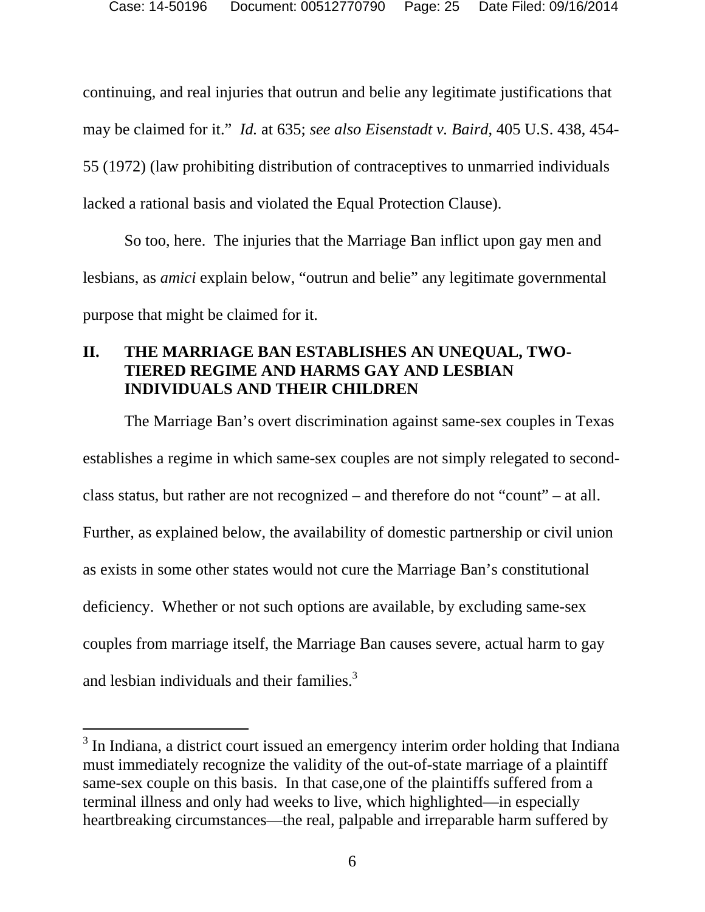continuing, and real injuries that outrun and belie any legitimate justifications that may be claimed for it." *Id.* at 635; *see also Eisenstadt v. Baird*, 405 U.S. 438, 454- 55 (1972) (law prohibiting distribution of contraceptives to unmarried individuals lacked a rational basis and violated the Equal Protection Clause).

So too, here. The injuries that the Marriage Ban inflict upon gay men and lesbians, as *amici* explain below, "outrun and belie" any legitimate governmental purpose that might be claimed for it.

# **II. THE MARRIAGE BAN ESTABLISHES AN UNEQUAL, TWO-TIERED REGIME AND HARMS GAY AND LESBIAN INDIVIDUALS AND THEIR CHILDREN**

The Marriage Ban's overt discrimination against same-sex couples in Texas establishes a regime in which same-sex couples are not simply relegated to secondclass status, but rather are not recognized – and therefore do not "count" – at all. Further, as explained below, the availability of domestic partnership or civil union as exists in some other states would not cure the Marriage Ban's constitutional deficiency. Whether or not such options are available, by excluding same-sex couples from marriage itself, the Marriage Ban causes severe, actual harm to gay and lesbian individuals and their families.<sup>3</sup>

 $\overline{a}$ 

 $3$  In Indiana, a district court issued an emergency interim order holding that Indiana must immediately recognize the validity of the out-of-state marriage of a plaintiff same-sex couple on this basis. In that case,one of the plaintiffs suffered from a terminal illness and only had weeks to live, which highlighted—in especially heartbreaking circumstances—the real, palpable and irreparable harm suffered by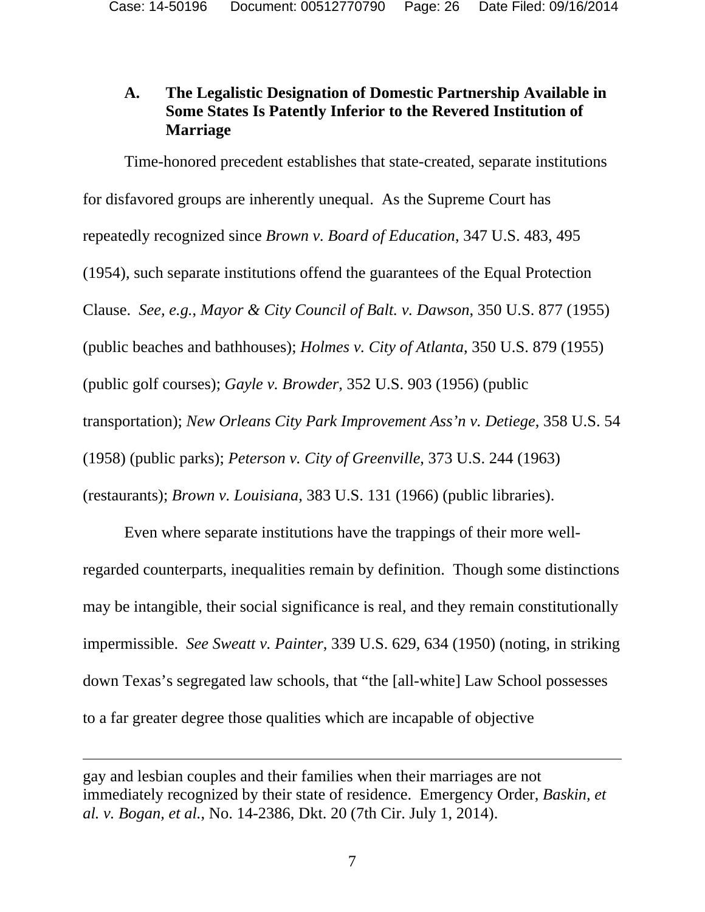## **A. The Legalistic Designation of Domestic Partnership Available in Some States Is Patently Inferior to the Revered Institution of Marriage**

Time-honored precedent establishes that state-created, separate institutions for disfavored groups are inherently unequal. As the Supreme Court has repeatedly recognized since *Brown v. Board of Education*, 347 U.S. 483, 495 (1954), such separate institutions offend the guarantees of the Equal Protection Clause. *See, e.g.*, *Mayor & City Council of Balt. v. Dawson*, 350 U.S. 877 (1955) (public beaches and bathhouses); *Holmes v. City of Atlanta*, 350 U.S. 879 (1955) (public golf courses); *Gayle v. Browder*, 352 U.S. 903 (1956) (public transportation); *New Orleans City Park Improvement Ass'n v. Detiege*, 358 U.S. 54 (1958) (public parks); *Peterson v. City of Greenville*, 373 U.S. 244 (1963) (restaurants); *Brown v. Louisiana*, 383 U.S. 131 (1966) (public libraries).

Even where separate institutions have the trappings of their more wellregarded counterparts, inequalities remain by definition. Though some distinctions may be intangible, their social significance is real, and they remain constitutionally impermissible. *See Sweatt v. Painter*, 339 U.S. 629, 634 (1950) (noting, in striking down Texas's segregated law schools, that "the [all-white] Law School possesses to a far greater degree those qualities which are incapable of objective

-

gay and lesbian couples and their families when their marriages are not immediately recognized by their state of residence. Emergency Order, *Baskin, et al. v. Bogan, et al.*, No. 14-2386, Dkt. 20 (7th Cir. July 1, 2014).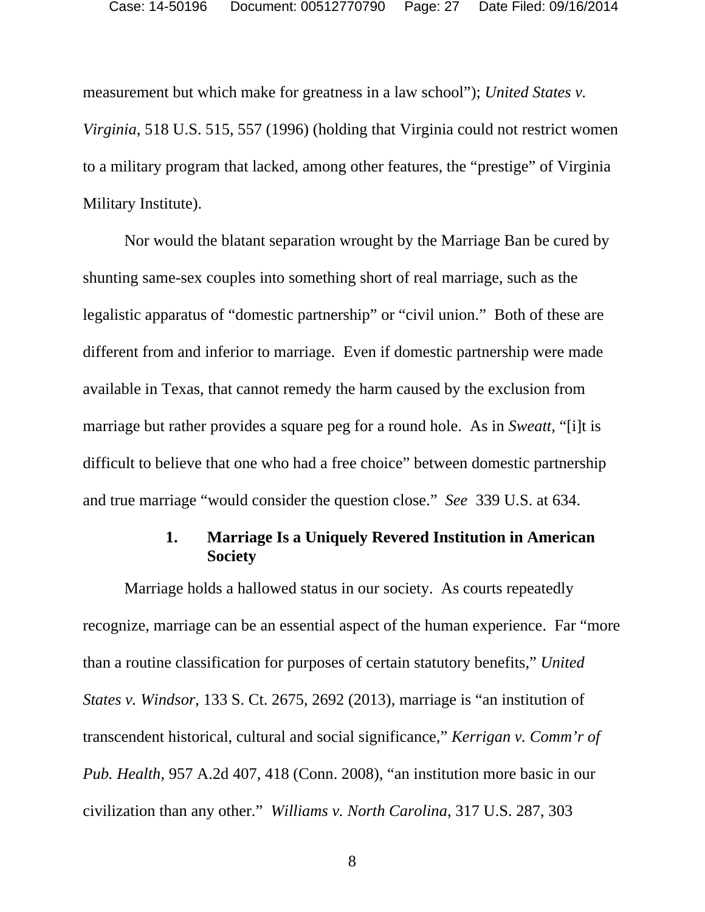measurement but which make for greatness in a law school"); *United States v. Virginia*, 518 U.S. 515, 557 (1996) (holding that Virginia could not restrict women to a military program that lacked, among other features, the "prestige" of Virginia Military Institute).

Nor would the blatant separation wrought by the Marriage Ban be cured by shunting same-sex couples into something short of real marriage, such as the legalistic apparatus of "domestic partnership" or "civil union." Both of these are different from and inferior to marriage. Even if domestic partnership were made available in Texas, that cannot remedy the harm caused by the exclusion from marriage but rather provides a square peg for a round hole. As in *Sweatt,* "[i]t is difficult to believe that one who had a free choice" between domestic partnership and true marriage "would consider the question close." *See* 339 U.S. at 634.

## **1. Marriage Is a Uniquely Revered Institution in American Society**

Marriage holds a hallowed status in our society. As courts repeatedly recognize, marriage can be an essential aspect of the human experience. Far "more than a routine classification for purposes of certain statutory benefits," *United States v. Windsor*, 133 S. Ct. 2675, 2692 (2013), marriage is "an institution of transcendent historical, cultural and social significance," *Kerrigan v. Comm'r of Pub. Health*, 957 A.2d 407, 418 (Conn. 2008), "an institution more basic in our civilization than any other." *Williams v. North Carolina*, 317 U.S. 287, 303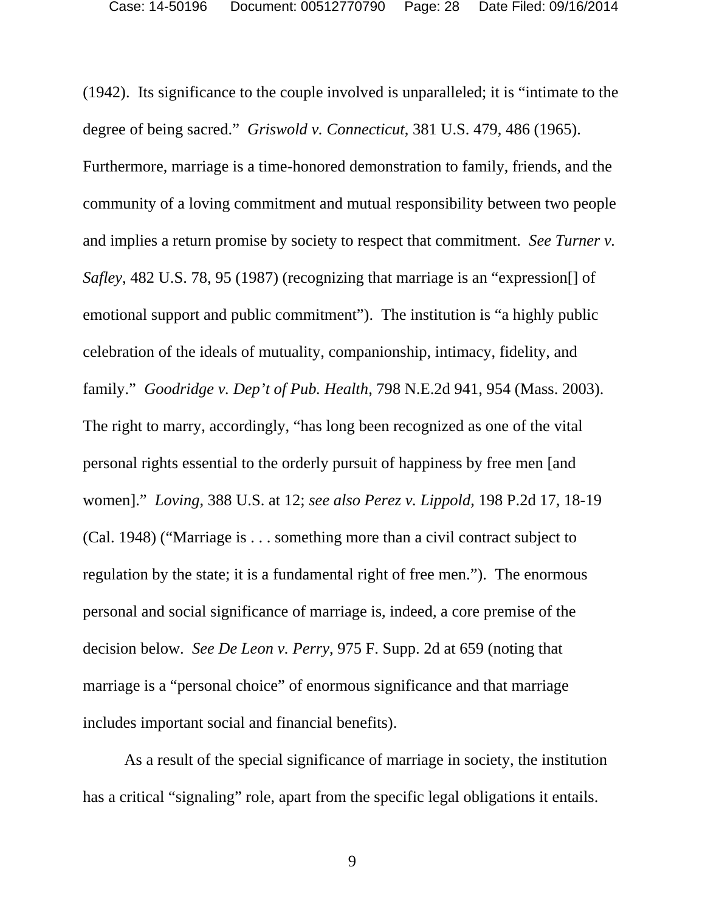(1942). Its significance to the couple involved is unparalleled; it is "intimate to the degree of being sacred." *Griswold v. Connecticut*, 381 U.S. 479, 486 (1965). Furthermore, marriage is a time-honored demonstration to family, friends, and the community of a loving commitment and mutual responsibility between two people and implies a return promise by society to respect that commitment. *See Turner v. Safley*, 482 U.S. 78, 95 (1987) (recognizing that marriage is an "expression[] of emotional support and public commitment"). The institution is "a highly public celebration of the ideals of mutuality, companionship, intimacy, fidelity, and family." *Goodridge v. Dep't of Pub. Health*, 798 N.E.2d 941, 954 (Mass. 2003). The right to marry, accordingly, "has long been recognized as one of the vital personal rights essential to the orderly pursuit of happiness by free men [and women]." *Loving*, 388 U.S. at 12; *see also Perez v. Lippold*, 198 P.2d 17, 18-19 (Cal. 1948) ("Marriage is . . . something more than a civil contract subject to regulation by the state; it is a fundamental right of free men."). The enormous personal and social significance of marriage is, indeed, a core premise of the decision below. *See De Leon v. Perry*, 975 F. Supp. 2d at 659 (noting that marriage is a "personal choice" of enormous significance and that marriage includes important social and financial benefits).

As a result of the special significance of marriage in society, the institution has a critical "signaling" role, apart from the specific legal obligations it entails.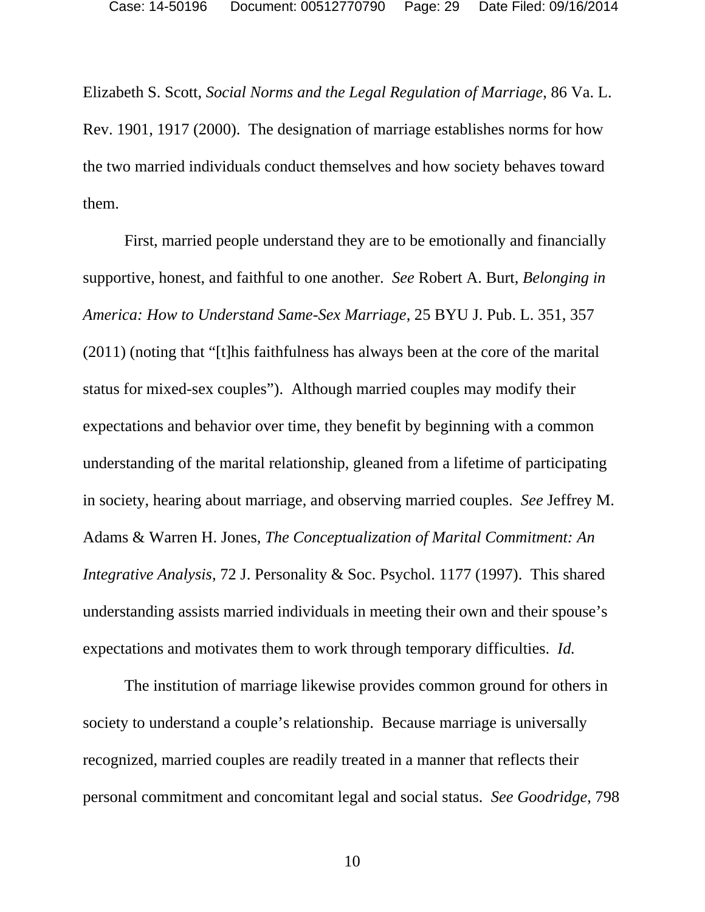Elizabeth S. Scott, *Social Norms and the Legal Regulation of Marriage*, 86 Va. L. Rev. 1901, 1917 (2000). The designation of marriage establishes norms for how the two married individuals conduct themselves and how society behaves toward them.

First, married people understand they are to be emotionally and financially supportive, honest, and faithful to one another. *See* Robert A. Burt, *Belonging in America: How to Understand Same-Sex Marriage*, 25 BYU J. Pub. L. 351, 357 (2011) (noting that "[t]his faithfulness has always been at the core of the marital status for mixed-sex couples"). Although married couples may modify their expectations and behavior over time, they benefit by beginning with a common understanding of the marital relationship, gleaned from a lifetime of participating in society, hearing about marriage, and observing married couples. *See* Jeffrey M. Adams & Warren H. Jones, *The Conceptualization of Marital Commitment: An Integrative Analysis*, 72 J. Personality & Soc. Psychol. 1177 (1997). This shared understanding assists married individuals in meeting their own and their spouse's expectations and motivates them to work through temporary difficulties. *Id.* 

The institution of marriage likewise provides common ground for others in society to understand a couple's relationship. Because marriage is universally recognized, married couples are readily treated in a manner that reflects their personal commitment and concomitant legal and social status. *See Goodridge*, 798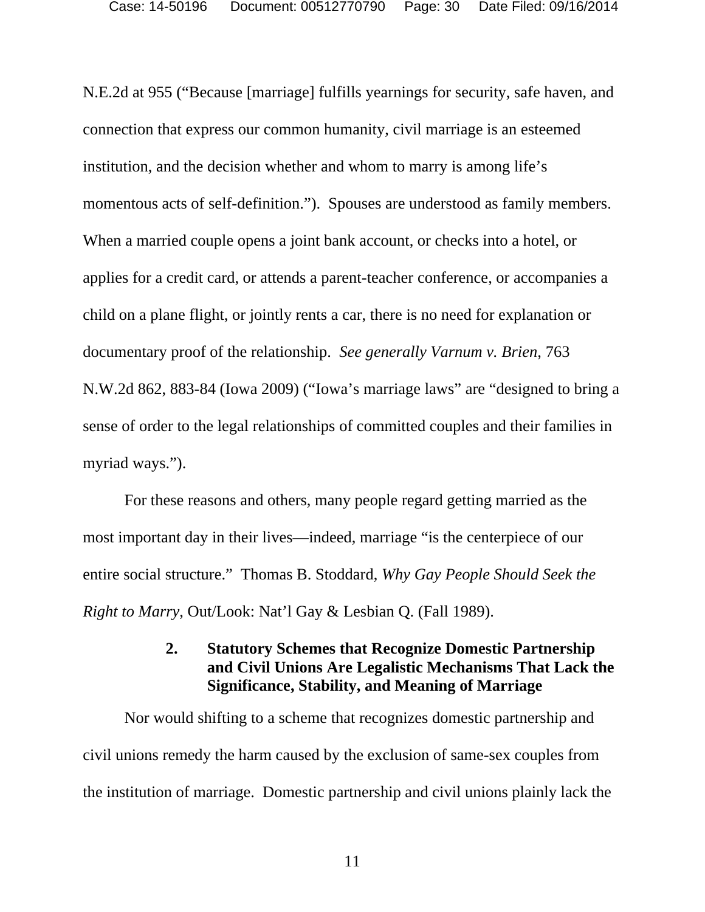N.E.2d at 955 ("Because [marriage] fulfills yearnings for security, safe haven, and connection that express our common humanity, civil marriage is an esteemed institution, and the decision whether and whom to marry is among life's momentous acts of self-definition."). Spouses are understood as family members. When a married couple opens a joint bank account, or checks into a hotel, or applies for a credit card, or attends a parent-teacher conference, or accompanies a child on a plane flight, or jointly rents a car, there is no need for explanation or documentary proof of the relationship. *See generally Varnum v. Brien*, 763 N.W.2d 862, 883-84 (Iowa 2009) ("Iowa's marriage laws" are "designed to bring a sense of order to the legal relationships of committed couples and their families in myriad ways.").

For these reasons and others, many people regard getting married as the most important day in their lives—indeed, marriage "is the centerpiece of our entire social structure." Thomas B. Stoddard, *Why Gay People Should Seek the Right to Marry*, Out/Look: Nat'l Gay & Lesbian Q. (Fall 1989).

## **2. Statutory Schemes that Recognize Domestic Partnership and Civil Unions Are Legalistic Mechanisms That Lack the Significance, Stability, and Meaning of Marriage**

Nor would shifting to a scheme that recognizes domestic partnership and civil unions remedy the harm caused by the exclusion of same-sex couples from the institution of marriage. Domestic partnership and civil unions plainly lack the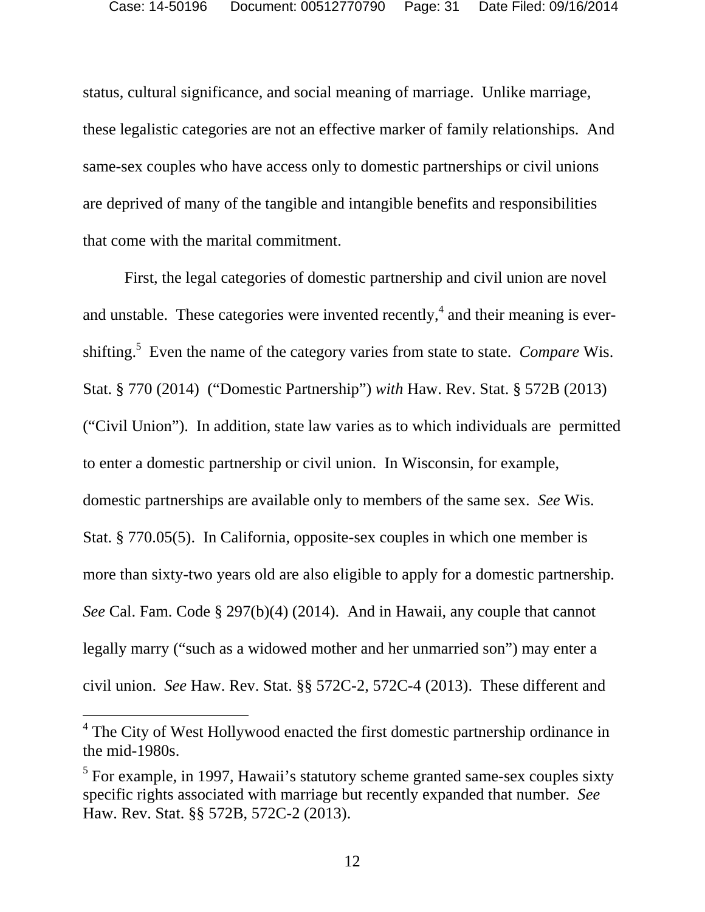status, cultural significance, and social meaning of marriage. Unlike marriage, these legalistic categories are not an effective marker of family relationships. And same-sex couples who have access only to domestic partnerships or civil unions are deprived of many of the tangible and intangible benefits and responsibilities that come with the marital commitment.

First, the legal categories of domestic partnership and civil union are novel and unstable. These categories were invented recently,  $4$  and their meaning is evershifting.<sup>5</sup> Even the name of the category varies from state to state. *Compare* Wis. Stat. § 770 (2014) ("Domestic Partnership") *with* Haw. Rev. Stat. § 572B (2013) ("Civil Union"). In addition, state law varies as to which individuals are permitted to enter a domestic partnership or civil union. In Wisconsin, for example, domestic partnerships are available only to members of the same sex. *See* Wis. Stat. § 770.05(5). In California, opposite-sex couples in which one member is more than sixty-two years old are also eligible to apply for a domestic partnership. *See* Cal. Fam. Code § 297(b)(4) (2014). And in Hawaii, any couple that cannot legally marry ("such as a widowed mother and her unmarried son") may enter a civil union. *See* Haw. Rev. Stat. §§ 572C-2, 572C-4 (2013). These different and

 $\overline{a}$ 

<sup>&</sup>lt;sup>4</sup> The City of West Hollywood enacted the first domestic partnership ordinance in the mid-1980s.

 $<sup>5</sup>$  For example, in 1997, Hawaii's statutory scheme granted same-sex couples sixty</sup> specific rights associated with marriage but recently expanded that number. *See* Haw. Rev. Stat. §§ 572B, 572C-2 (2013).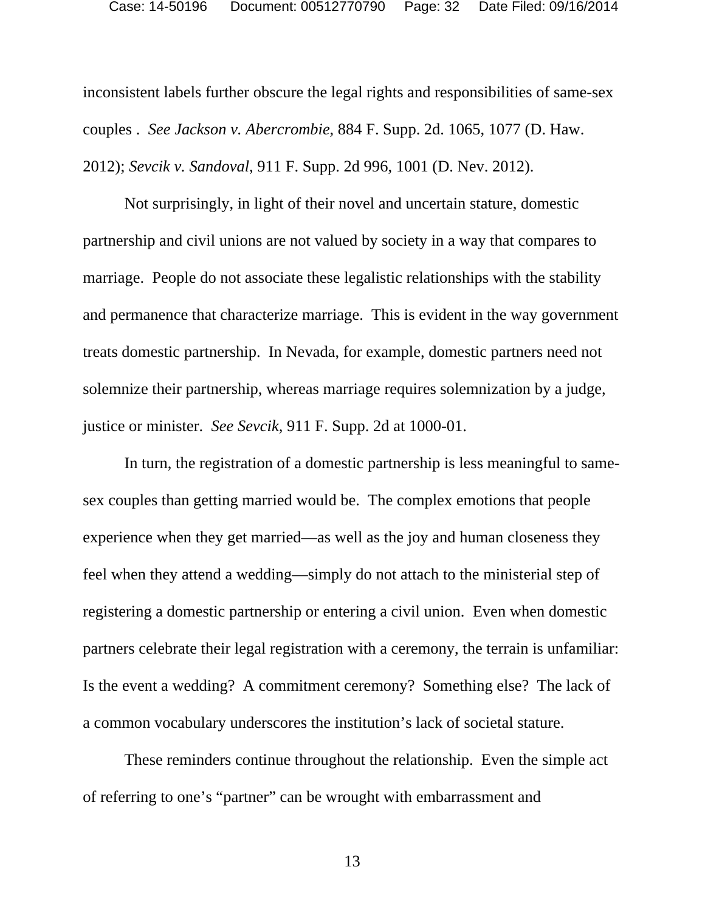inconsistent labels further obscure the legal rights and responsibilities of same-sex couples . *See Jackson v. Abercrombie*, 884 F. Supp. 2d. 1065, 1077 (D. Haw. 2012); *Sevcik v. Sandoval*, 911 F. Supp. 2d 996, 1001 (D. Nev. 2012).

Not surprisingly, in light of their novel and uncertain stature, domestic partnership and civil unions are not valued by society in a way that compares to marriage. People do not associate these legalistic relationships with the stability and permanence that characterize marriage. This is evident in the way government treats domestic partnership. In Nevada, for example, domestic partners need not solemnize their partnership, whereas marriage requires solemnization by a judge, justice or minister. *See Sevcik,* 911 F. Supp. 2d at 1000-01.

In turn, the registration of a domestic partnership is less meaningful to samesex couples than getting married would be. The complex emotions that people experience when they get married—as well as the joy and human closeness they feel when they attend a wedding—simply do not attach to the ministerial step of registering a domestic partnership or entering a civil union. Even when domestic partners celebrate their legal registration with a ceremony, the terrain is unfamiliar: Is the event a wedding? A commitment ceremony? Something else? The lack of a common vocabulary underscores the institution's lack of societal stature.

These reminders continue throughout the relationship. Even the simple act of referring to one's "partner" can be wrought with embarrassment and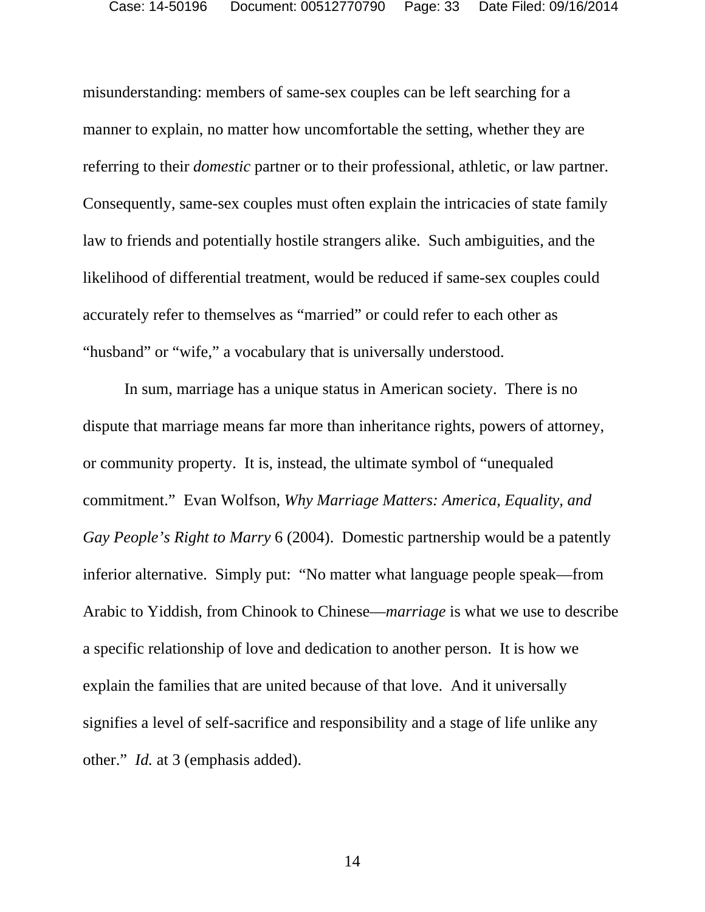misunderstanding: members of same-sex couples can be left searching for a manner to explain, no matter how uncomfortable the setting, whether they are referring to their *domestic* partner or to their professional, athletic, or law partner. Consequently, same-sex couples must often explain the intricacies of state family law to friends and potentially hostile strangers alike. Such ambiguities, and the likelihood of differential treatment, would be reduced if same-sex couples could accurately refer to themselves as "married" or could refer to each other as "husband" or "wife," a vocabulary that is universally understood.

In sum, marriage has a unique status in American society. There is no dispute that marriage means far more than inheritance rights, powers of attorney, or community property. It is, instead, the ultimate symbol of "unequaled commitment." Evan Wolfson, *Why Marriage Matters: America, Equality, and Gay People's Right to Marry* 6 (2004). Domestic partnership would be a patently inferior alternative. Simply put: "No matter what language people speak—from Arabic to Yiddish, from Chinook to Chinese—*marriage* is what we use to describe a specific relationship of love and dedication to another person. It is how we explain the families that are united because of that love. And it universally signifies a level of self-sacrifice and responsibility and a stage of life unlike any other." *Id.* at 3 (emphasis added).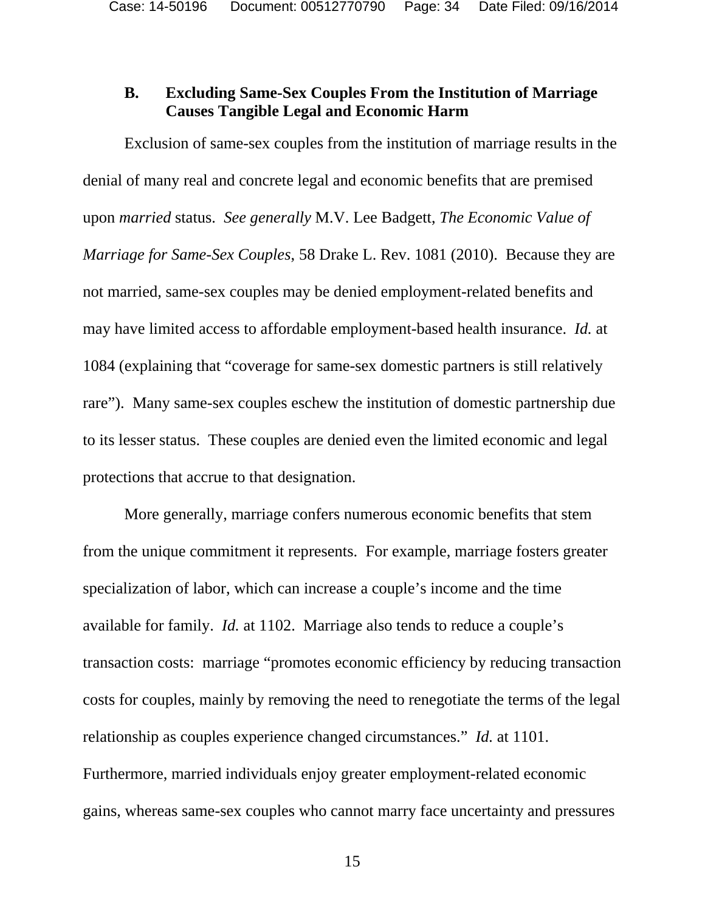### **B. Excluding Same-Sex Couples From the Institution of Marriage Causes Tangible Legal and Economic Harm**

Exclusion of same-sex couples from the institution of marriage results in the denial of many real and concrete legal and economic benefits that are premised upon *married* status. *See generally* M.V. Lee Badgett, *The Economic Value of Marriage for Same-Sex Couples*, 58 Drake L. Rev. 1081 (2010). Because they are not married, same-sex couples may be denied employment-related benefits and may have limited access to affordable employment-based health insurance. *Id.* at 1084 (explaining that "coverage for same-sex domestic partners is still relatively rare"). Many same-sex couples eschew the institution of domestic partnership due to its lesser status. These couples are denied even the limited economic and legal protections that accrue to that designation.

More generally, marriage confers numerous economic benefits that stem from the unique commitment it represents. For example, marriage fosters greater specialization of labor, which can increase a couple's income and the time available for family. *Id.* at 1102. Marriage also tends to reduce a couple's transaction costs: marriage "promotes economic efficiency by reducing transaction costs for couples, mainly by removing the need to renegotiate the terms of the legal relationship as couples experience changed circumstances." *Id.* at 1101. Furthermore, married individuals enjoy greater employment-related economic gains, whereas same-sex couples who cannot marry face uncertainty and pressures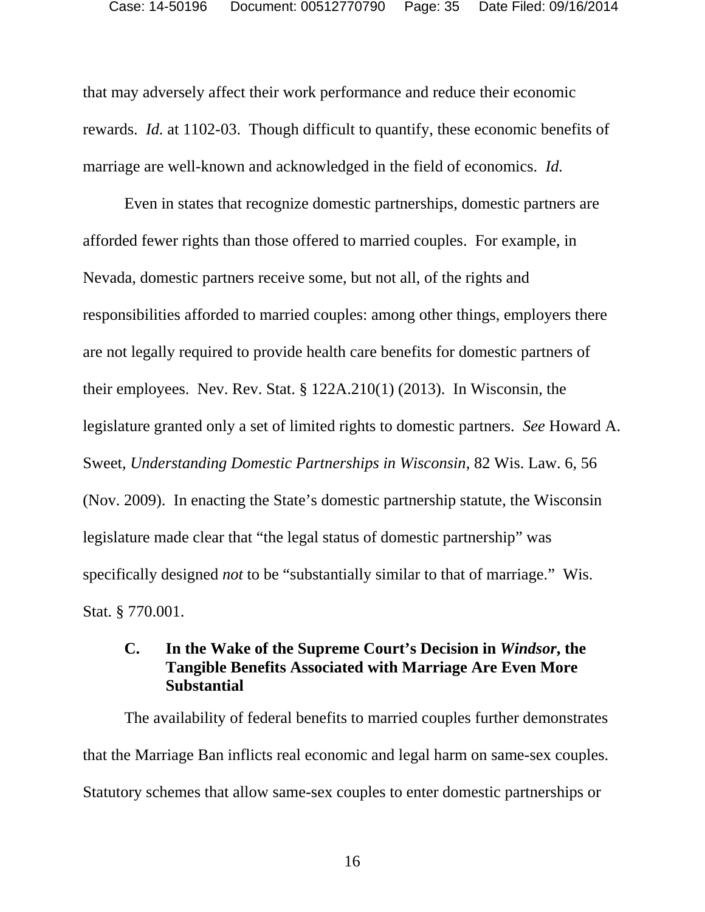that may adversely affect their work performance and reduce their economic rewards. *Id.* at 1102-03. Though difficult to quantify, these economic benefits of marriage are well-known and acknowledged in the field of economics. *Id.*

Even in states that recognize domestic partnerships, domestic partners are afforded fewer rights than those offered to married couples. For example, in Nevada, domestic partners receive some, but not all, of the rights and responsibilities afforded to married couples: among other things, employers there are not legally required to provide health care benefits for domestic partners of their employees. Nev. Rev. Stat. § 122A.210(1) (2013). In Wisconsin, the legislature granted only a set of limited rights to domestic partners. *See* Howard A. Sweet, *Understanding Domestic Partnerships in Wisconsin*, 82 Wis. Law. 6, 56 (Nov. 2009). In enacting the State's domestic partnership statute, the Wisconsin legislature made clear that "the legal status of domestic partnership" was specifically designed *not* to be "substantially similar to that of marriage." Wis. Stat. § 770.001.

## **C. In the Wake of the Supreme Court's Decision in** *Windsor***, the Tangible Benefits Associated with Marriage Are Even More Substantial**

The availability of federal benefits to married couples further demonstrates that the Marriage Ban inflicts real economic and legal harm on same-sex couples. Statutory schemes that allow same-sex couples to enter domestic partnerships or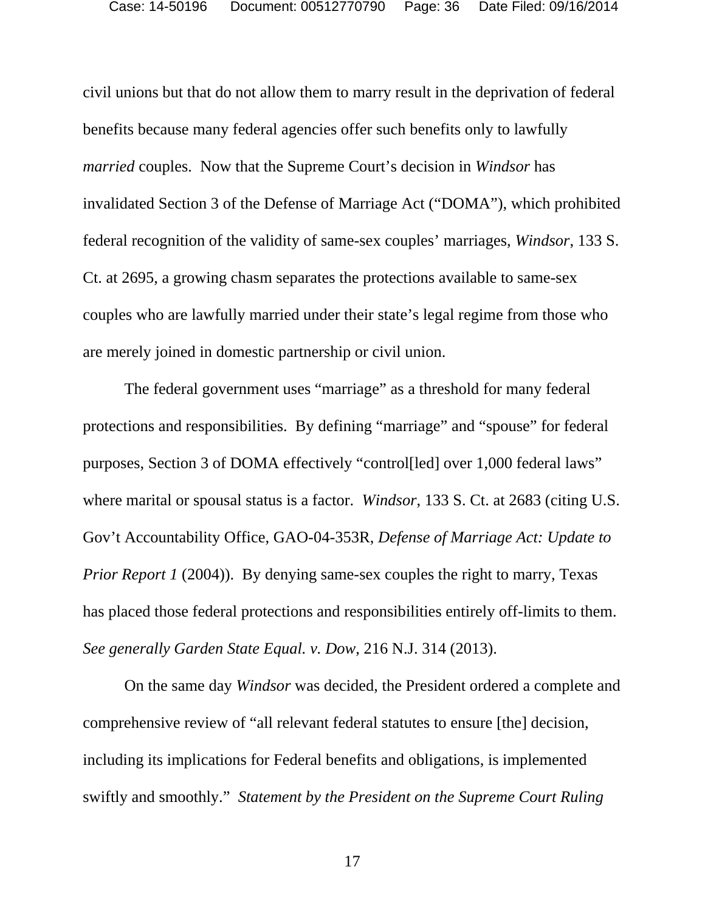civil unions but that do not allow them to marry result in the deprivation of federal benefits because many federal agencies offer such benefits only to lawfully *married* couples. Now that the Supreme Court's decision in *Windsor* has invalidated Section 3 of the Defense of Marriage Act ("DOMA"), which prohibited federal recognition of the validity of same-sex couples' marriages, *Windsor*, 133 S. Ct. at 2695, a growing chasm separates the protections available to same-sex couples who are lawfully married under their state's legal regime from those who are merely joined in domestic partnership or civil union.

The federal government uses "marriage" as a threshold for many federal protections and responsibilities. By defining "marriage" and "spouse" for federal purposes, Section 3 of DOMA effectively "control[led] over 1,000 federal laws" where marital or spousal status is a factor. *Windsor*, 133 S. Ct. at 2683 (citing U.S. Gov't Accountability Office, GAO-04-353R, *Defense of Marriage Act: Update to Prior Report 1* (2004)). By denying same-sex couples the right to marry, Texas has placed those federal protections and responsibilities entirely off-limits to them. *See generally Garden State Equal. v. Dow*, 216 N.J. 314 (2013).

On the same day *Windsor* was decided, the President ordered a complete and comprehensive review of "all relevant federal statutes to ensure [the] decision, including its implications for Federal benefits and obligations, is implemented swiftly and smoothly." *Statement by the President on the Supreme Court Ruling*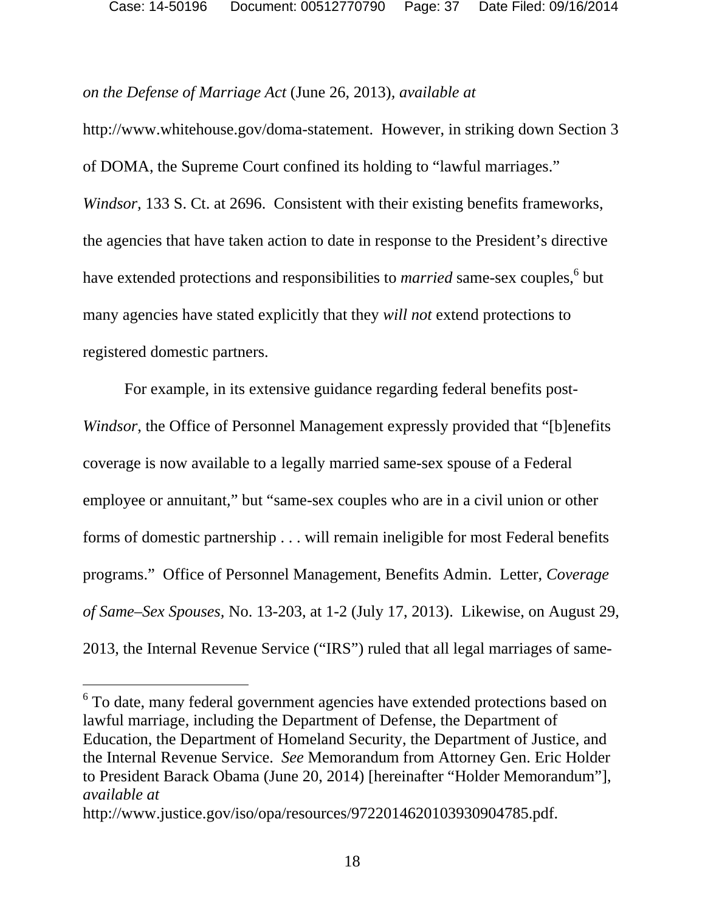*on the Defense of Marriage Act* (June 26, 2013)*, available at* 

http://www.whitehouse.gov/doma-statement. However, in striking down Section 3 of DOMA, the Supreme Court confined its holding to "lawful marriages." *Windsor,* 133 S. Ct. at 2696. Consistent with their existing benefits frameworks, the agencies that have taken action to date in response to the President's directive have extended protections and responsibilities to *married* same-sex couples, <sup>6</sup> but many agencies have stated explicitly that they *will not* extend protections to registered domestic partners.

For example, in its extensive guidance regarding federal benefits post-*Windsor*, the Office of Personnel Management expressly provided that "[b]enefits coverage is now available to a legally married same-sex spouse of a Federal employee or annuitant," but "same-sex couples who are in a civil union or other forms of domestic partnership . . . will remain ineligible for most Federal benefits programs." Office of Personnel Management, Benefits Admin. Letter, *Coverage of Same–Sex Spouses,* No. 13-203, at 1-2 (July 17, 2013). Likewise, on August 29, 2013, the Internal Revenue Service ("IRS") ruled that all legal marriages of same-

 $\overline{a}$ 

<sup>&</sup>lt;sup>6</sup> To date, many federal government agencies have extended protections based on lawful marriage, including the Department of Defense, the Department of Education, the Department of Homeland Security, the Department of Justice, and the Internal Revenue Service. *See* Memorandum from Attorney Gen. Eric Holder to President Barack Obama (June 20, 2014) [hereinafter "Holder Memorandum"], *available at*

http://www.justice.gov/iso/opa/resources/9722014620103930904785.pdf.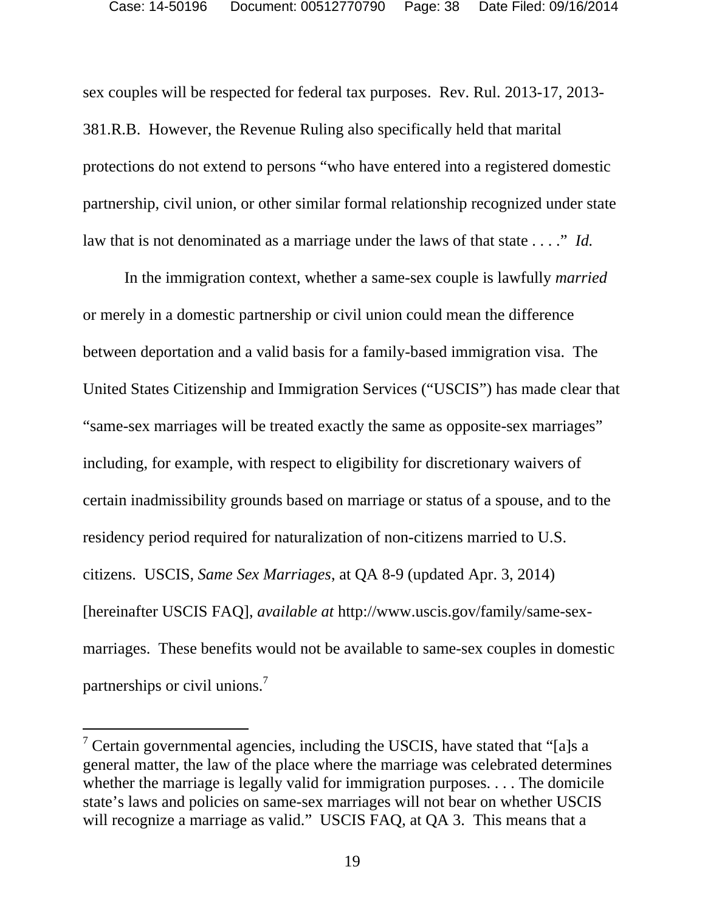sex couples will be respected for federal tax purposes. Rev. Rul. 2013-17, 2013- 381.R.B. However, the Revenue Ruling also specifically held that marital protections do not extend to persons "who have entered into a registered domestic partnership, civil union, or other similar formal relationship recognized under state law that is not denominated as a marriage under the laws of that state . . . ." *Id.* 

In the immigration context, whether a same-sex couple is lawfully *married*  or merely in a domestic partnership or civil union could mean the difference between deportation and a valid basis for a family-based immigration visa. The United States Citizenship and Immigration Services ("USCIS") has made clear that "same-sex marriages will be treated exactly the same as opposite-sex marriages" including, for example, with respect to eligibility for discretionary waivers of certain inadmissibility grounds based on marriage or status of a spouse, and to the residency period required for naturalization of non-citizens married to U.S. citizens. USCIS, *Same Sex Marriages*, at QA 8-9 (updated Apr. 3, 2014) [hereinafter USCIS FAQ], *available at* http://www.uscis.gov/family/same-sexmarriages. These benefits would not be available to same-sex couples in domestic partnerships or civil unions.<sup>7</sup>

l

<sup>&</sup>lt;sup>7</sup> Certain governmental agencies, including the USCIS, have stated that "[a]s a general matter, the law of the place where the marriage was celebrated determines whether the marriage is legally valid for immigration purposes. . . . The domicile state's laws and policies on same-sex marriages will not bear on whether USCIS will recognize a marriage as valid." USCIS FAQ, at QA 3. This means that a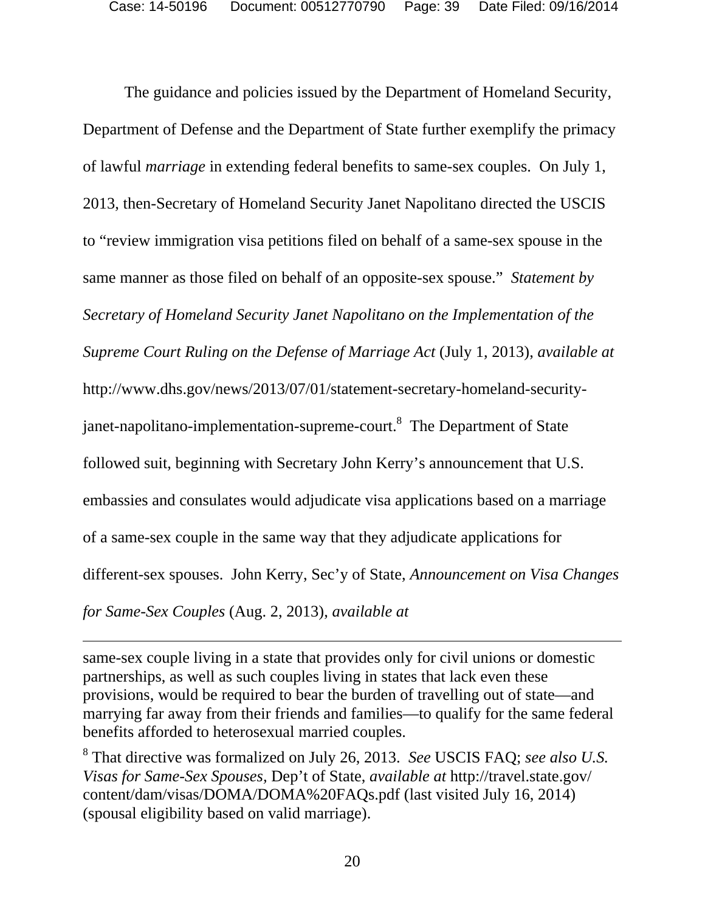The guidance and policies issued by the Department of Homeland Security, Department of Defense and the Department of State further exemplify the primacy of lawful *marriage* in extending federal benefits to same-sex couples. On July 1, 2013, then-Secretary of Homeland Security Janet Napolitano directed the USCIS to "review immigration visa petitions filed on behalf of a same-sex spouse in the same manner as those filed on behalf of an opposite-sex spouse." *Statement by Secretary of Homeland Security Janet Napolitano on the Implementation of the Supreme Court Ruling on the Defense of Marriage Act* (July 1, 2013), *available at* http://www.dhs.gov/news/2013/07/01/statement-secretary-homeland-securityjanet-napolitano-implementation-supreme-court.<sup>8</sup> The Department of State followed suit, beginning with Secretary John Kerry's announcement that U.S. embassies and consulates would adjudicate visa applications based on a marriage of a same-sex couple in the same way that they adjudicate applications for different-sex spouses. John Kerry, Sec'y of State, *Announcement on Visa Changes for Same-Sex Couples* (Aug. 2, 2013), *available at* 

same-sex couple living in a state that provides only for civil unions or domestic partnerships, as well as such couples living in states that lack even these provisions, would be required to bear the burden of travelling out of state—and marrying far away from their friends and families—to qualify for the same federal benefits afforded to heterosexual married couples.

-

8 That directive was formalized on July 26, 2013. *See* USCIS FAQ; *see also U.S. Visas for Same-Sex Spouses,* Dep't of State, *available at* http://travel.state.gov/ content/dam/visas/DOMA/DOMA%20FAQs.pdf (last visited July 16, 2014) (spousal eligibility based on valid marriage).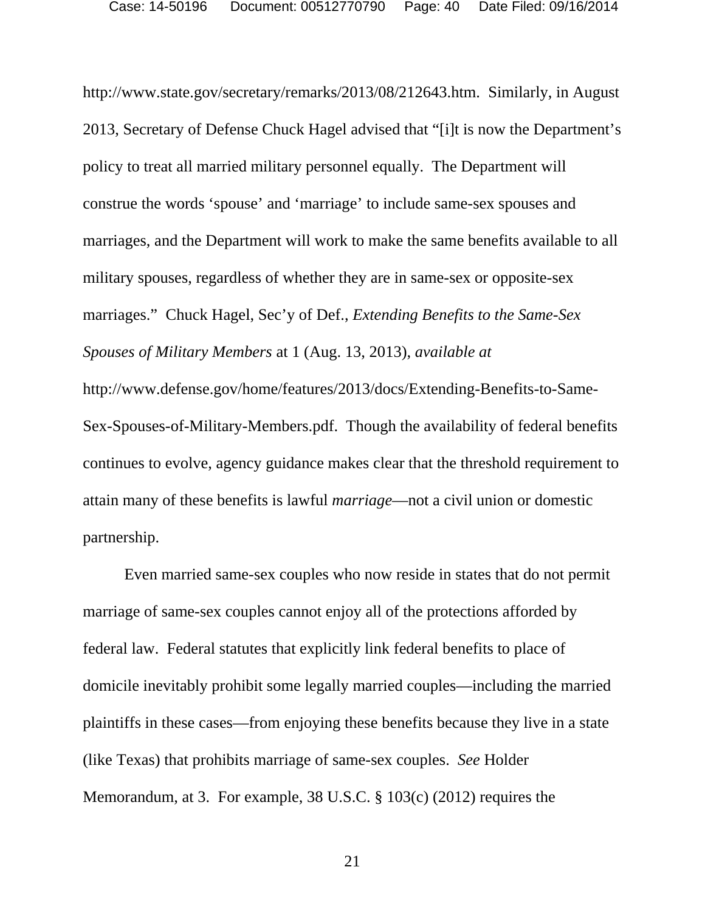http://www.state.gov/secretary/remarks/2013/08/212643.htm. Similarly, in August 2013, Secretary of Defense Chuck Hagel advised that "[i]t is now the Department's policy to treat all married military personnel equally. The Department will construe the words 'spouse' and 'marriage' to include same-sex spouses and marriages, and the Department will work to make the same benefits available to all military spouses, regardless of whether they are in same-sex or opposite-sex marriages." Chuck Hagel, Sec'y of Def., *Extending Benefits to the Same-Sex Spouses of Military Members* at 1 (Aug. 13, 2013), *available at*  http://www.defense.gov/home/features/2013/docs/Extending-Benefits-to-Same-Sex-Spouses-of-Military-Members.pdf. Though the availability of federal benefits continues to evolve, agency guidance makes clear that the threshold requirement to attain many of these benefits is lawful *marriage*—not a civil union or domestic partnership.

Even married same-sex couples who now reside in states that do not permit marriage of same-sex couples cannot enjoy all of the protections afforded by federal law. Federal statutes that explicitly link federal benefits to place of domicile inevitably prohibit some legally married couples—including the married plaintiffs in these cases—from enjoying these benefits because they live in a state (like Texas) that prohibits marriage of same-sex couples. *See* Holder Memorandum, at 3. For example, 38 U.S.C. § 103(c) (2012) requires the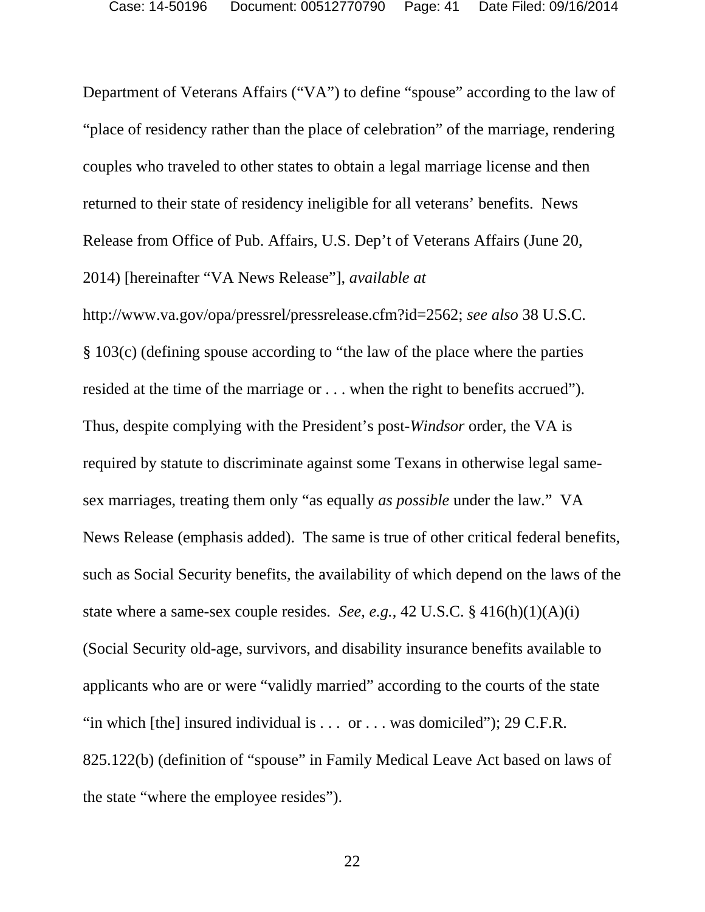Department of Veterans Affairs ("VA") to define "spouse" according to the law of "place of residency rather than the place of celebration" of the marriage, rendering couples who traveled to other states to obtain a legal marriage license and then returned to their state of residency ineligible for all veterans' benefits. News Release from Office of Pub. Affairs, U.S. Dep't of Veterans Affairs (June 20, 2014) [hereinafter "VA News Release"], *available at*

http://www.va.gov/opa/pressrel/pressrelease.cfm?id=2562; *see also* 38 U.S.C. § 103(c) (defining spouse according to "the law of the place where the parties resided at the time of the marriage or . . . when the right to benefits accrued"). Thus, despite complying with the President's post-*Windsor* order, the VA is required by statute to discriminate against some Texans in otherwise legal samesex marriages, treating them only "as equally *as possible* under the law." VA News Release (emphasis added). The same is true of other critical federal benefits, such as Social Security benefits, the availability of which depend on the laws of the state where a same-sex couple resides. *See, e.g.*, 42 U.S.C. § 416(h)(1)(A)(i) (Social Security old-age, survivors, and disability insurance benefits available to applicants who are or were "validly married" according to the courts of the state "in which [the] insured individual is  $\dots$  or  $\dots$  was domiciled"); 29 C.F.R. 825.122(b) (definition of "spouse" in Family Medical Leave Act based on laws of the state "where the employee resides").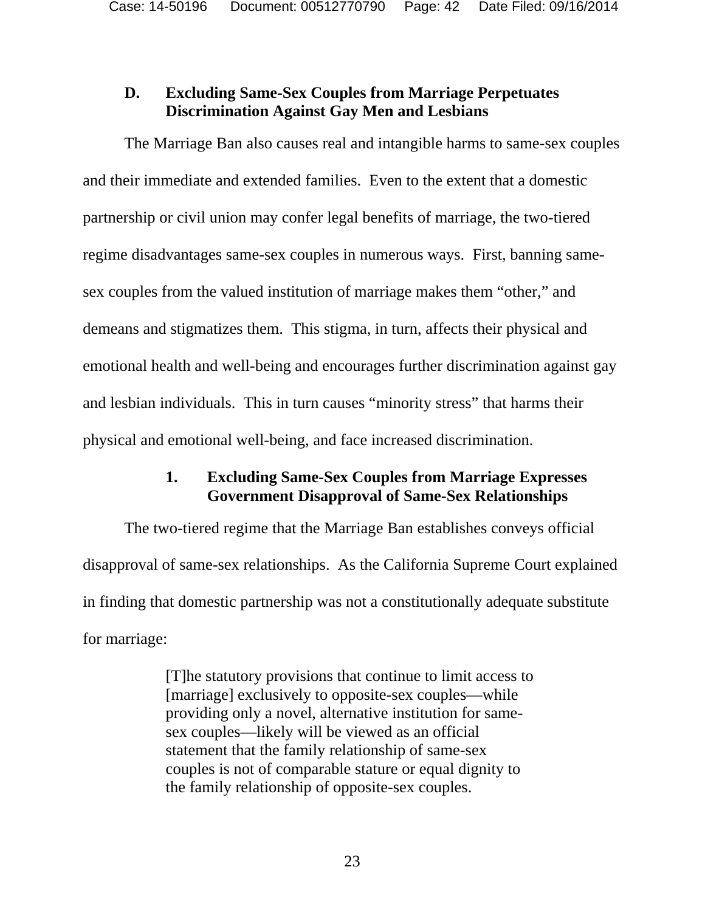## **D. Excluding Same-Sex Couples from Marriage Perpetuates Discrimination Against Gay Men and Lesbians**

The Marriage Ban also causes real and intangible harms to same-sex couples and their immediate and extended families. Even to the extent that a domestic partnership or civil union may confer legal benefits of marriage, the two-tiered regime disadvantages same-sex couples in numerous ways. First, banning samesex couples from the valued institution of marriage makes them "other," and demeans and stigmatizes them. This stigma, in turn, affects their physical and emotional health and well-being and encourages further discrimination against gay and lesbian individuals. This in turn causes "minority stress" that harms their physical and emotional well-being, and face increased discrimination.

## **1. Excluding Same-Sex Couples from Marriage Expresses Government Disapproval of Same-Sex Relationships**

The two-tiered regime that the Marriage Ban establishes conveys official disapproval of same-sex relationships. As the California Supreme Court explained in finding that domestic partnership was not a constitutionally adequate substitute for marriage:

> [T]he statutory provisions that continue to limit access to [marriage] exclusively to opposite-sex couples—while providing only a novel, alternative institution for samesex couples—likely will be viewed as an official statement that the family relationship of same-sex couples is not of comparable stature or equal dignity to the family relationship of opposite-sex couples.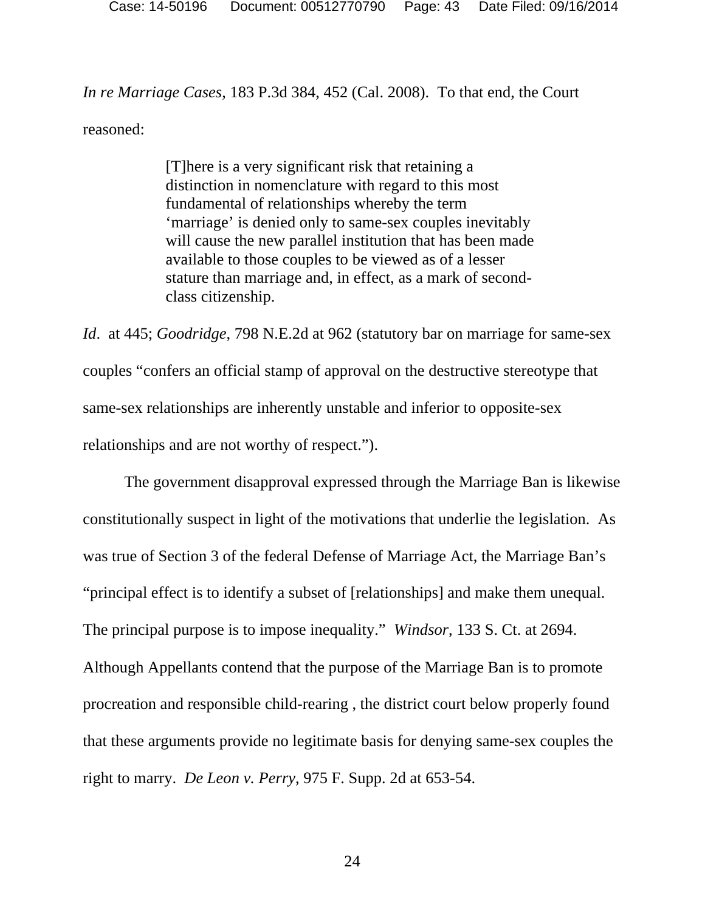Case: 14-50196 Document: 00512770790 Page: 43 Date Filed: 09/16/2014

*In re Marriage Cases*, 183 P.3d 384, 452 (Cal. 2008). To that end, the Court reasoned:

> [T]here is a very significant risk that retaining a distinction in nomenclature with regard to this most fundamental of relationships whereby the term 'marriage' is denied only to same-sex couples inevitably will cause the new parallel institution that has been made available to those couples to be viewed as of a lesser stature than marriage and, in effect, as a mark of secondclass citizenship.

*Id*. at 445; *Goodridge*, 798 N.E.2d at 962 (statutory bar on marriage for same-sex couples "confers an official stamp of approval on the destructive stereotype that same-sex relationships are inherently unstable and inferior to opposite-sex relationships and are not worthy of respect.").

The government disapproval expressed through the Marriage Ban is likewise constitutionally suspect in light of the motivations that underlie the legislation. As was true of Section 3 of the federal Defense of Marriage Act, the Marriage Ban's "principal effect is to identify a subset of [relationships] and make them unequal. The principal purpose is to impose inequality." *Windsor*, 133 S. Ct. at 2694. Although Appellants contend that the purpose of the Marriage Ban is to promote procreation and responsible child-rearing , the district court below properly found that these arguments provide no legitimate basis for denying same-sex couples the right to marry. *De Leon v. Perry*, 975 F. Supp. 2d at 653-54.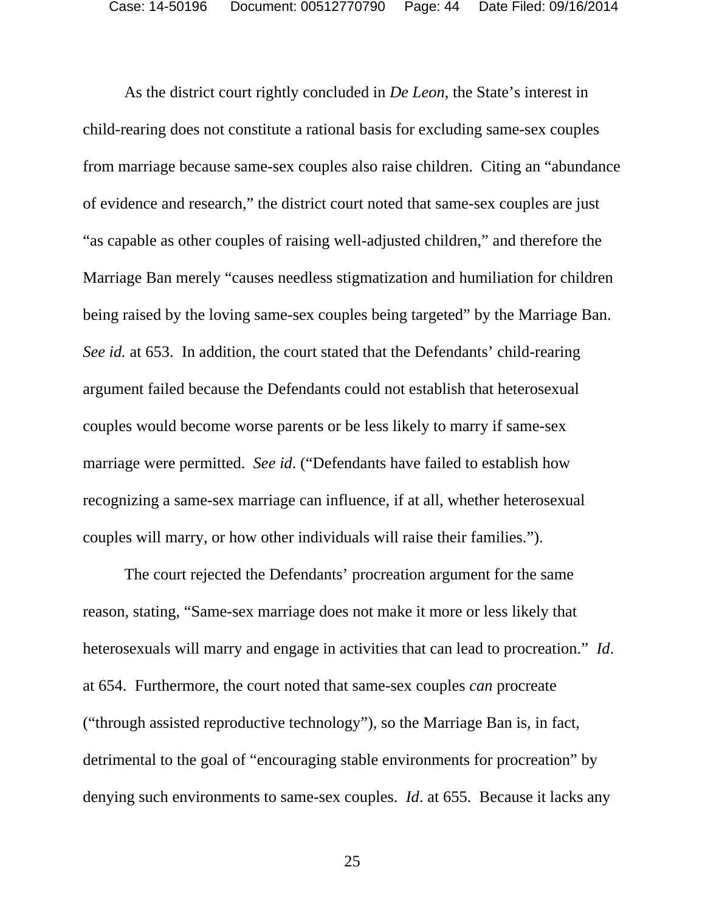As the district court rightly concluded in *De Leon*, the State's interest in child-rearing does not constitute a rational basis for excluding same-sex couples from marriage because same-sex couples also raise children. Citing an "abundance of evidence and research," the district court noted that same-sex couples are just "as capable as other couples of raising well-adjusted children," and therefore the Marriage Ban merely "causes needless stigmatization and humiliation for children being raised by the loving same-sex couples being targeted" by the Marriage Ban. *See id.* at 653. In addition, the court stated that the Defendants' child-rearing argument failed because the Defendants could not establish that heterosexual couples would become worse parents or be less likely to marry if same-sex marriage were permitted. *See id*. ("Defendants have failed to establish how recognizing a same-sex marriage can influence, if at all, whether heterosexual couples will marry, or how other individuals will raise their families.").

The court rejected the Defendants' procreation argument for the same reason, stating, "Same-sex marriage does not make it more or less likely that heterosexuals will marry and engage in activities that can lead to procreation." *Id*. at 654. Furthermore, the court noted that same-sex couples *can* procreate ("through assisted reproductive technology"), so the Marriage Ban is, in fact, detrimental to the goal of "encouraging stable environments for procreation" by denying such environments to same-sex couples. *Id*. at 655. Because it lacks any

25 and 25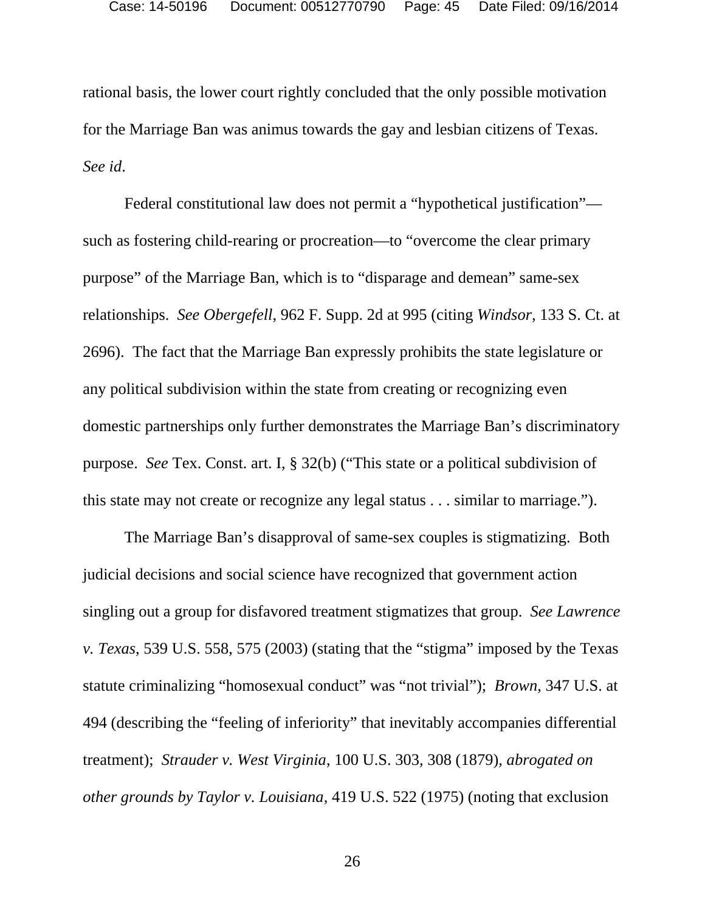rational basis, the lower court rightly concluded that the only possible motivation for the Marriage Ban was animus towards the gay and lesbian citizens of Texas. *See id*.

Federal constitutional law does not permit a "hypothetical justification" such as fostering child-rearing or procreation—to "overcome the clear primary purpose" of the Marriage Ban, which is to "disparage and demean" same-sex relationships. *See Obergefell*, 962 F. Supp. 2d at 995 (citing *Windsor*, 133 S. Ct. at 2696). The fact that the Marriage Ban expressly prohibits the state legislature or any political subdivision within the state from creating or recognizing even domestic partnerships only further demonstrates the Marriage Ban's discriminatory purpose. *See* Tex. Const. art. I, § 32(b) ("This state or a political subdivision of this state may not create or recognize any legal status . . . similar to marriage.").

The Marriage Ban's disapproval of same-sex couples is stigmatizing. Both judicial decisions and social science have recognized that government action singling out a group for disfavored treatment stigmatizes that group. *See Lawrence v. Texas*, 539 U.S. 558, 575 (2003) (stating that the "stigma" imposed by the Texas statute criminalizing "homosexual conduct" was "not trivial"); *Brown*, 347 U.S. at 494 (describing the "feeling of inferiority" that inevitably accompanies differential treatment); *Strauder v. West Virginia*, 100 U.S. 303, 308 (1879), *abrogated on other grounds by Taylor v. Louisiana*, 419 U.S. 522 (1975) (noting that exclusion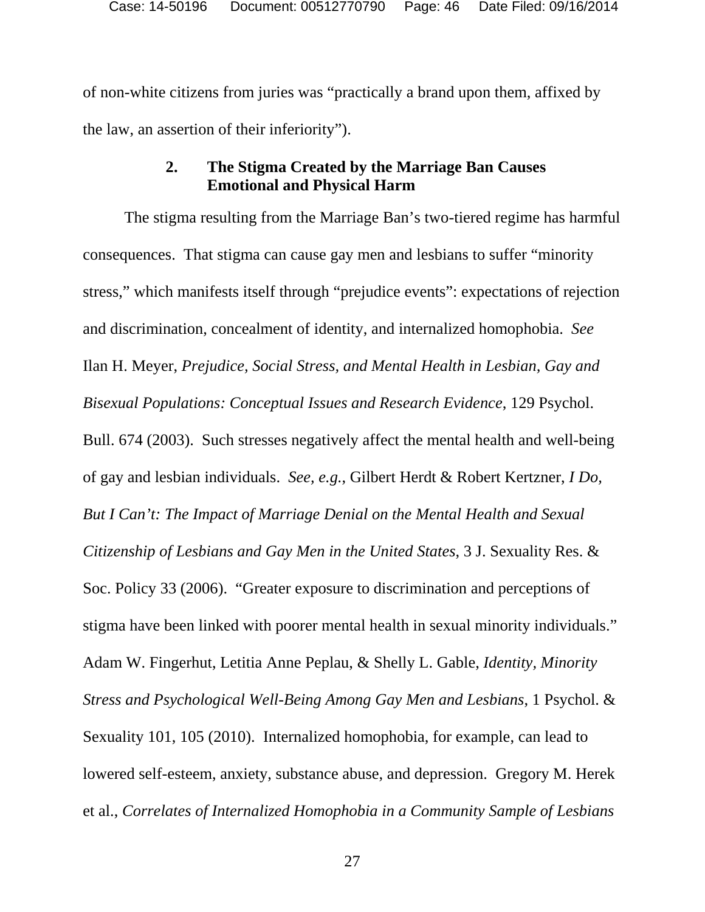of non-white citizens from juries was "practically a brand upon them, affixed by the law, an assertion of their inferiority").

## **2. The Stigma Created by the Marriage Ban Causes Emotional and Physical Harm**

The stigma resulting from the Marriage Ban's two-tiered regime has harmful consequences. That stigma can cause gay men and lesbians to suffer "minority stress," which manifests itself through "prejudice events": expectations of rejection and discrimination, concealment of identity, and internalized homophobia. *See* Ilan H. Meyer, *Prejudice, Social Stress, and Mental Health in Lesbian, Gay and Bisexual Populations: Conceptual Issues and Research Evidence*, 129 Psychol. Bull. 674 (2003). Such stresses negatively affect the mental health and well-being of gay and lesbian individuals. *See, e.g.*, Gilbert Herdt & Robert Kertzner, *I Do, But I Can't: The Impact of Marriage Denial on the Mental Health and Sexual Citizenship of Lesbians and Gay Men in the United States*, 3 J. Sexuality Res. & Soc. Policy 33 (2006). "Greater exposure to discrimination and perceptions of stigma have been linked with poorer mental health in sexual minority individuals." Adam W. Fingerhut, Letitia Anne Peplau, & Shelly L. Gable, *Identity, Minority Stress and Psychological Well-Being Among Gay Men and Lesbians*, 1 Psychol. & Sexuality 101, 105 (2010). Internalized homophobia, for example, can lead to lowered self-esteem, anxiety, substance abuse, and depression. Gregory M. Herek et al., *Correlates of Internalized Homophobia in a Community Sample of Lesbians*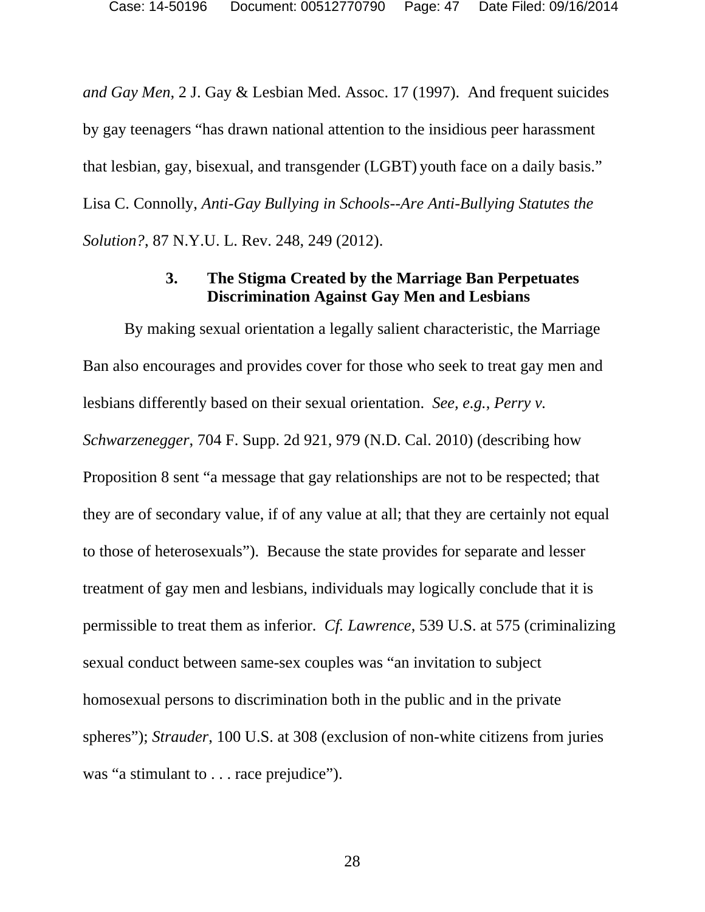*and Gay Men*, 2 J. Gay & Lesbian Med. Assoc. 17 (1997). And frequent suicides by gay teenagers "has drawn national attention to the insidious peer harassment that lesbian, gay, bisexual, and transgender (LGBT) youth face on a daily basis." Lisa C. Connolly, *Anti-Gay Bullying in Schools--Are Anti-Bullying Statutes the Solution?*, 87 N.Y.U. L. Rev. 248, 249 (2012).

### **3. The Stigma Created by the Marriage Ban Perpetuates Discrimination Against Gay Men and Lesbians**

By making sexual orientation a legally salient characteristic, the Marriage Ban also encourages and provides cover for those who seek to treat gay men and lesbians differently based on their sexual orientation. *See, e.g.*, *Perry v. Schwarzenegger*, 704 F. Supp. 2d 921, 979 (N.D. Cal. 2010) (describing how Proposition 8 sent "a message that gay relationships are not to be respected; that they are of secondary value, if of any value at all; that they are certainly not equal to those of heterosexuals"). Because the state provides for separate and lesser treatment of gay men and lesbians, individuals may logically conclude that it is permissible to treat them as inferior. *Cf. Lawrence*, 539 U.S. at 575 (criminalizing sexual conduct between same-sex couples was "an invitation to subject homosexual persons to discrimination both in the public and in the private spheres"); *Strauder*, 100 U.S. at 308 (exclusion of non-white citizens from juries was "a stimulant to . . . race prejudice").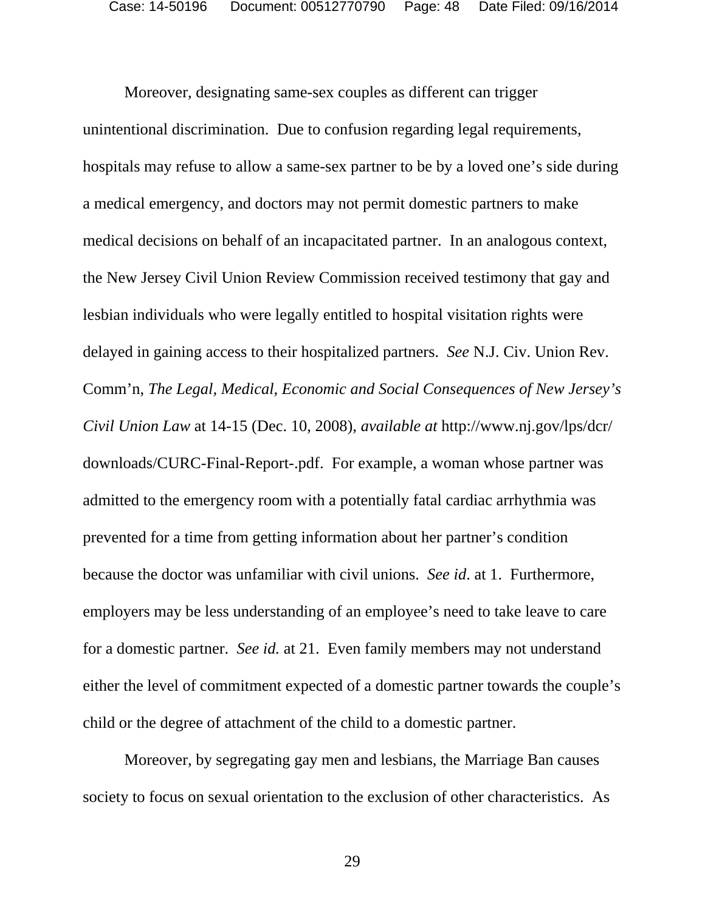Moreover, designating same-sex couples as different can trigger unintentional discrimination. Due to confusion regarding legal requirements, hospitals may refuse to allow a same-sex partner to be by a loved one's side during a medical emergency, and doctors may not permit domestic partners to make medical decisions on behalf of an incapacitated partner. In an analogous context, the New Jersey Civil Union Review Commission received testimony that gay and lesbian individuals who were legally entitled to hospital visitation rights were delayed in gaining access to their hospitalized partners. *See* N.J. Civ. Union Rev. Comm'n, *The Legal, Medical, Economic and Social Consequences of New Jersey's Civil Union Law* at 14-15 (Dec. 10, 2008), *available at* http://www.nj.gov/lps/dcr/ downloads/CURC-Final-Report-.pdf. For example, a woman whose partner was admitted to the emergency room with a potentially fatal cardiac arrhythmia was prevented for a time from getting information about her partner's condition because the doctor was unfamiliar with civil unions. *See id*. at 1. Furthermore, employers may be less understanding of an employee's need to take leave to care for a domestic partner. *See id.* at 21. Even family members may not understand either the level of commitment expected of a domestic partner towards the couple's child or the degree of attachment of the child to a domestic partner.

Moreover, by segregating gay men and lesbians, the Marriage Ban causes society to focus on sexual orientation to the exclusion of other characteristics. As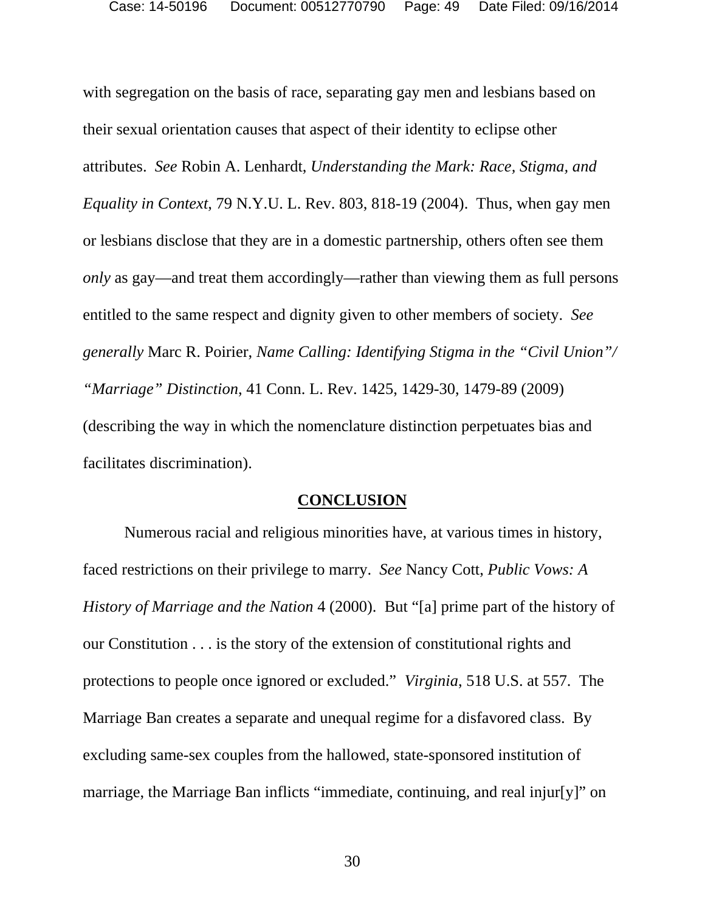with segregation on the basis of race, separating gay men and lesbians based on their sexual orientation causes that aspect of their identity to eclipse other attributes. *See* Robin A. Lenhardt, *Understanding the Mark: Race, Stigma, and Equality in Context*, 79 N.Y.U. L. Rev. 803, 818-19 (2004). Thus, when gay men or lesbians disclose that they are in a domestic partnership, others often see them *only* as gay—and treat them accordingly—rather than viewing them as full persons entitled to the same respect and dignity given to other members of society. *See generally* Marc R. Poirier, *Name Calling: Identifying Stigma in the "Civil Union"/ "Marriage" Distinction*, 41 Conn. L. Rev. 1425, 1429-30, 1479-89 (2009) (describing the way in which the nomenclature distinction perpetuates bias and facilitates discrimination).

#### **CONCLUSION**

Numerous racial and religious minorities have, at various times in history, faced restrictions on their privilege to marry. *See* Nancy Cott, *Public Vows: A History of Marriage and the Nation* 4 (2000). But "[a] prime part of the history of our Constitution . . . is the story of the extension of constitutional rights and protections to people once ignored or excluded." *Virginia*, 518 U.S. at 557. The Marriage Ban creates a separate and unequal regime for a disfavored class. By excluding same-sex couples from the hallowed, state-sponsored institution of marriage, the Marriage Ban inflicts "immediate, continuing, and real injur[y]" on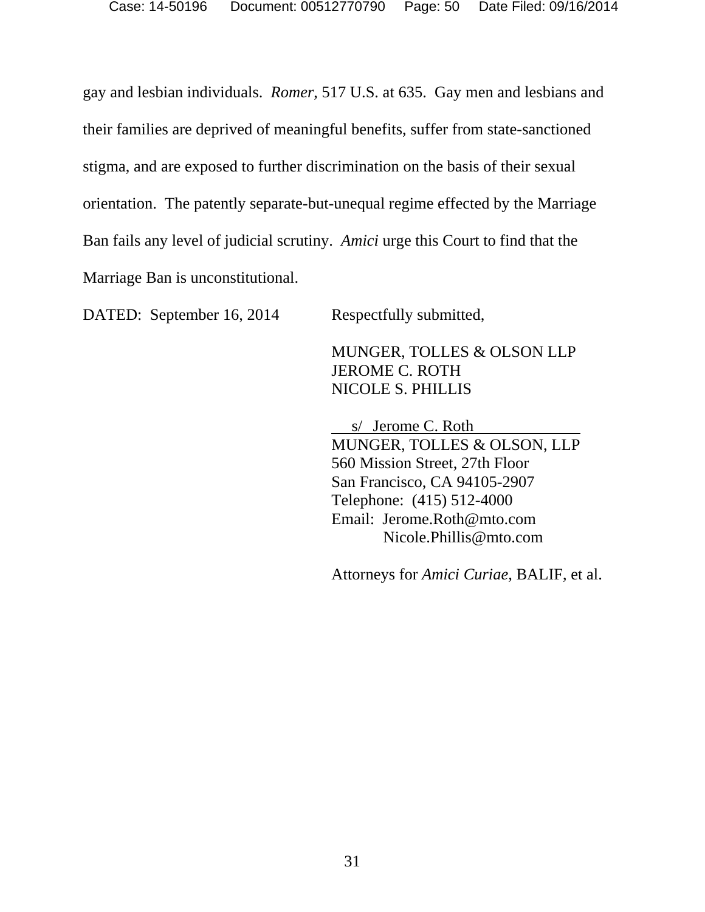gay and lesbian individuals. *Romer*, 517 U.S. at 635. Gay men and lesbians and their families are deprived of meaningful benefits, suffer from state-sanctioned stigma, and are exposed to further discrimination on the basis of their sexual orientation. The patently separate-but-unequal regime effected by the Marriage Ban fails any level of judicial scrutiny. *Amici* urge this Court to find that the Marriage Ban is unconstitutional.

DATED: September 16, 2014 Respectfully submitted,

MUNGER, TOLLES & OLSON LLP JEROME C. ROTH NICOLE S. PHILLIS

 s/ Jerome C. Roth MUNGER, TOLLES & OLSON, LLP 560 Mission Street, 27th Floor San Francisco, CA 94105-2907 Telephone: (415) 512-4000 Email: Jerome.Roth@mto.com Nicole.Phillis@mto.com

Attorneys for *Amici Curiae,* BALIF, et al.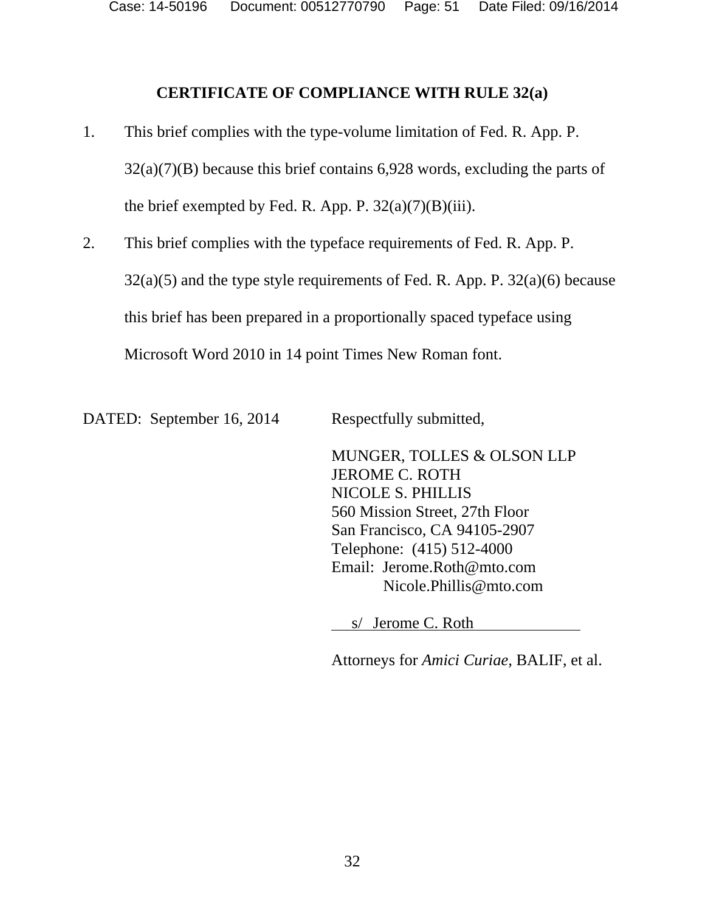Case: 14-50196 Document: 00512770790 Page: 51 Date Filed: 09/16/2014

#### **CERTIFICATE OF COMPLIANCE WITH RULE 32(a)**

- 1. This brief complies with the type-volume limitation of Fed. R. App. P.  $32(a)(7)(B)$  because this brief contains 6,928 words, excluding the parts of the brief exempted by Fed. R. App. P.  $32(a)(7)(B)(iii)$ .
- 2. This brief complies with the typeface requirements of Fed. R. App. P.  $32(a)(5)$  and the type style requirements of Fed. R. App. P.  $32(a)(6)$  because this brief has been prepared in a proportionally spaced typeface using Microsoft Word 2010 in 14 point Times New Roman font.

DATED: September 16, 2014 Respectfully submitted,

MUNGER, TOLLES & OLSON LLP JEROME C. ROTH NICOLE S. PHILLIS 560 Mission Street, 27th Floor San Francisco, CA 94105-2907 Telephone: (415) 512-4000 Email: Jerome.Roth@mto.com Nicole.Phillis@mto.com

s/ Jerome C. Roth

Attorneys for *Amici Curiae,* BALIF, et al.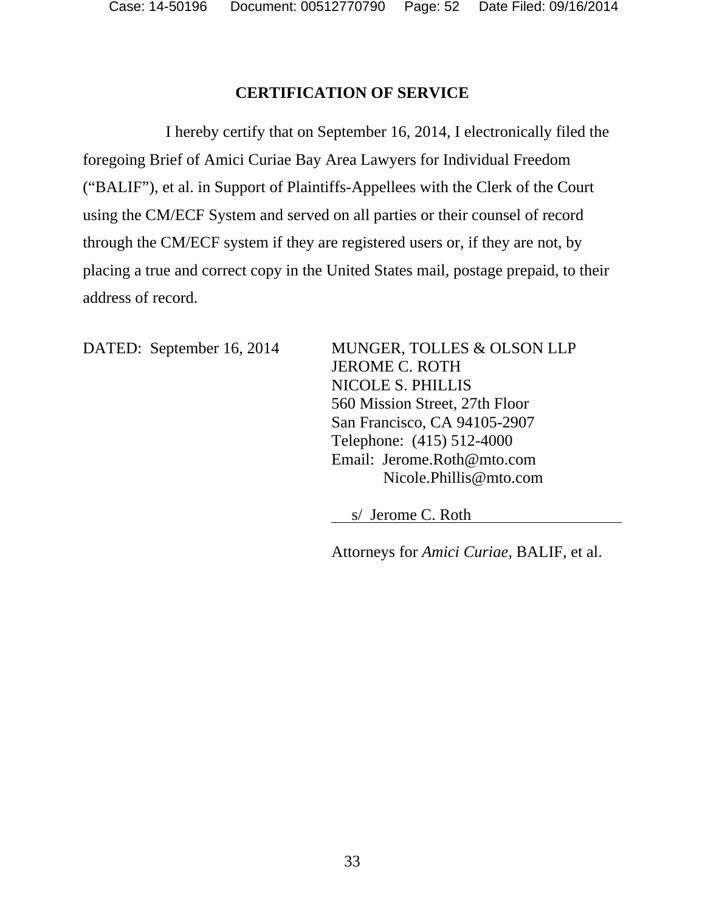## **CERTIFICATION OF SERVICE**

I hereby certify that on September 16, 2014, I electronically filed the foregoing Brief of Amici Curiae Bay Area Lawyers for Individual Freedom ("BALIF"), et al. in Support of Plaintiffs-Appellees with the Clerk of the Court using the CM/ECF System and served on all parties or their counsel of record through the CM/ECF system if they are registered users or, if they are not, by placing a true and correct copy in the United States mail, postage prepaid, to their address of record.

DATED: September 16, 2014 MUNGER, TOLLES & OLSON LLP JEROME C. ROTH NICOLE S. PHILLIS 560 Mission Street, 27th Floor San Francisco, CA 94105-2907 Telephone: (415) 512-4000 Email: Jerome.Roth@mto.com Nicole.Phillis@mto.com

s/ Jerome C. Roth

Attorneys for *Amici Curiae,* BALIF, et al.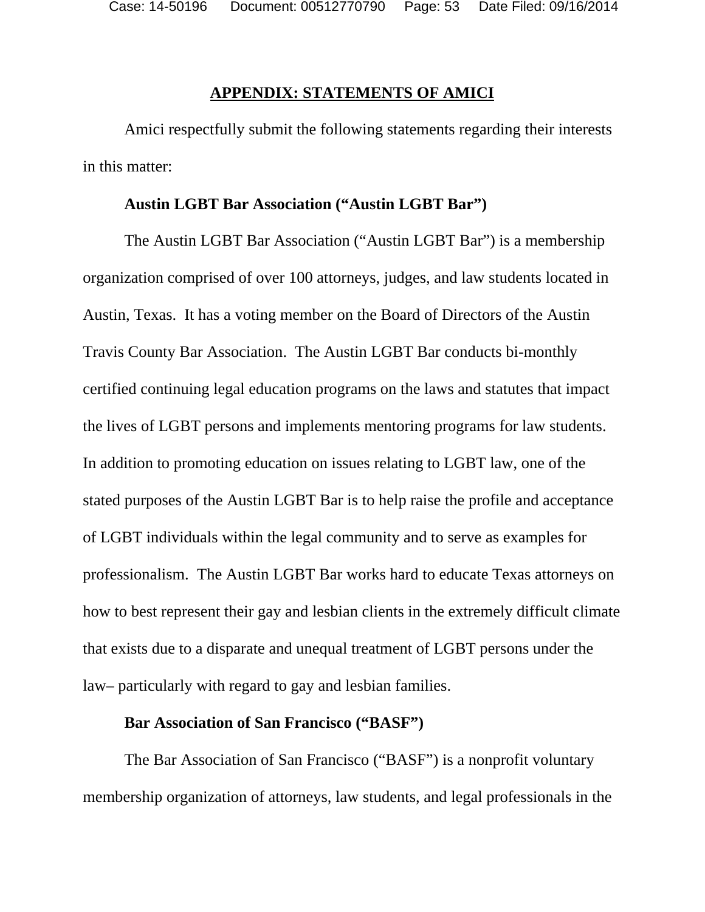#### **APPENDIX: STATEMENTS OF AMICI**

Amici respectfully submit the following statements regarding their interests in this matter:

#### **Austin LGBT Bar Association ("Austin LGBT Bar")**

The Austin LGBT Bar Association ("Austin LGBT Bar") is a membership organization comprised of over 100 attorneys, judges, and law students located in Austin, Texas. It has a voting member on the Board of Directors of the Austin Travis County Bar Association. The Austin LGBT Bar conducts bi-monthly certified continuing legal education programs on the laws and statutes that impact the lives of LGBT persons and implements mentoring programs for law students. In addition to promoting education on issues relating to LGBT law, one of the stated purposes of the Austin LGBT Bar is to help raise the profile and acceptance of LGBT individuals within the legal community and to serve as examples for professionalism. The Austin LGBT Bar works hard to educate Texas attorneys on how to best represent their gay and lesbian clients in the extremely difficult climate that exists due to a disparate and unequal treatment of LGBT persons under the law– particularly with regard to gay and lesbian families.

#### **Bar Association of San Francisco ("BASF")**

The Bar Association of San Francisco ("BASF") is a nonprofit voluntary membership organization of attorneys, law students, and legal professionals in the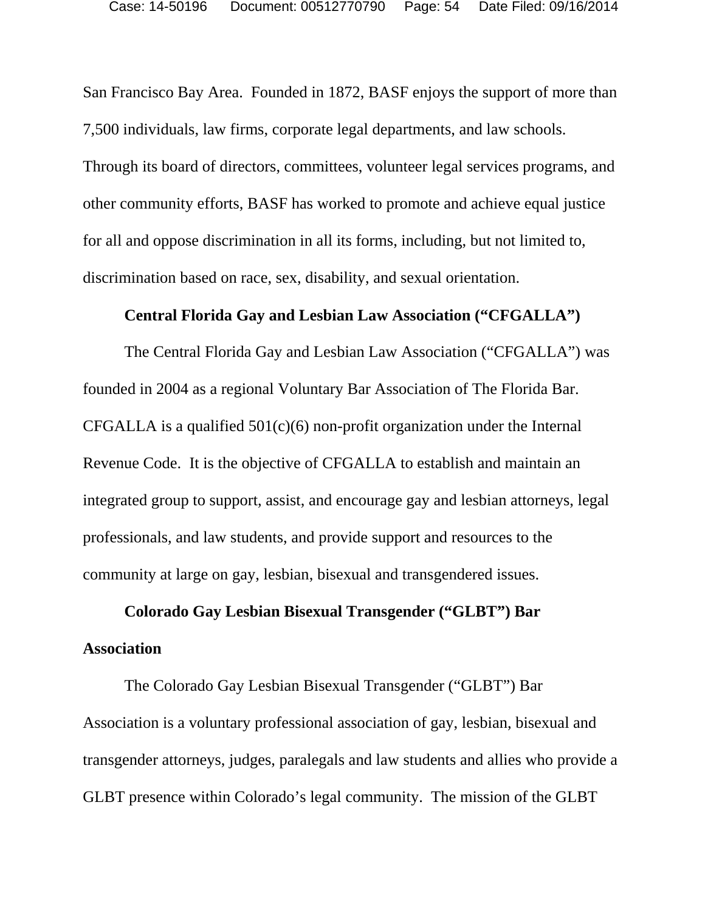San Francisco Bay Area. Founded in 1872, BASF enjoys the support of more than 7,500 individuals, law firms, corporate legal departments, and law schools. Through its board of directors, committees, volunteer legal services programs, and other community efforts, BASF has worked to promote and achieve equal justice for all and oppose discrimination in all its forms, including, but not limited to, discrimination based on race, sex, disability, and sexual orientation.

#### **Central Florida Gay and Lesbian Law Association ("CFGALLA")**

The Central Florida Gay and Lesbian Law Association ("CFGALLA") was founded in 2004 as a regional Voluntary Bar Association of The Florida Bar. CFGALLA is a qualified  $501(c)(6)$  non-profit organization under the Internal Revenue Code. It is the objective of CFGALLA to establish and maintain an integrated group to support, assist, and encourage gay and lesbian attorneys, legal professionals, and law students, and provide support and resources to the community at large on gay, lesbian, bisexual and transgendered issues.

# **Colorado Gay Lesbian Bisexual Transgender ("GLBT") Bar Association**

The Colorado Gay Lesbian Bisexual Transgender ("GLBT") Bar Association is a voluntary professional association of gay, lesbian, bisexual and transgender attorneys, judges, paralegals and law students and allies who provide a GLBT presence within Colorado's legal community. The mission of the GLBT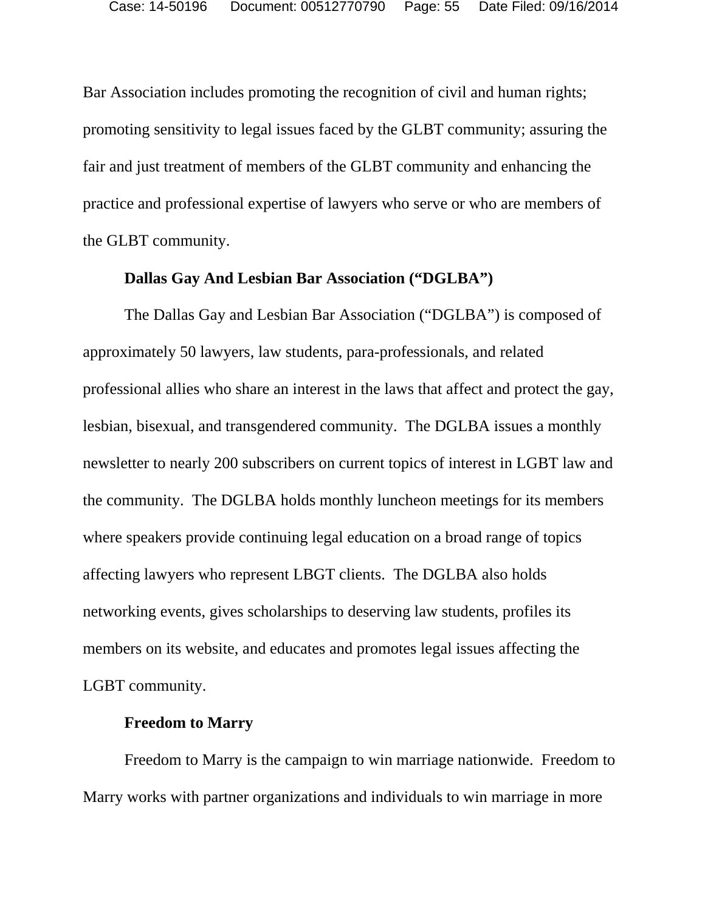Bar Association includes promoting the recognition of civil and human rights; promoting sensitivity to legal issues faced by the GLBT community; assuring the fair and just treatment of members of the GLBT community and enhancing the practice and professional expertise of lawyers who serve or who are members of the GLBT community.

#### **Dallas Gay And Lesbian Bar Association ("DGLBA")**

The Dallas Gay and Lesbian Bar Association ("DGLBA") is composed of approximately 50 lawyers, law students, para-professionals, and related professional allies who share an interest in the laws that affect and protect the gay, lesbian, bisexual, and transgendered community. The DGLBA issues a monthly newsletter to nearly 200 subscribers on current topics of interest in LGBT law and the community. The DGLBA holds monthly luncheon meetings for its members where speakers provide continuing legal education on a broad range of topics affecting lawyers who represent LBGT clients. The DGLBA also holds networking events, gives scholarships to deserving law students, profiles its members on its website, and educates and promotes legal issues affecting the LGBT community.

## **Freedom to Marry**

Freedom to Marry is the campaign to win marriage nationwide. Freedom to Marry works with partner organizations and individuals to win marriage in more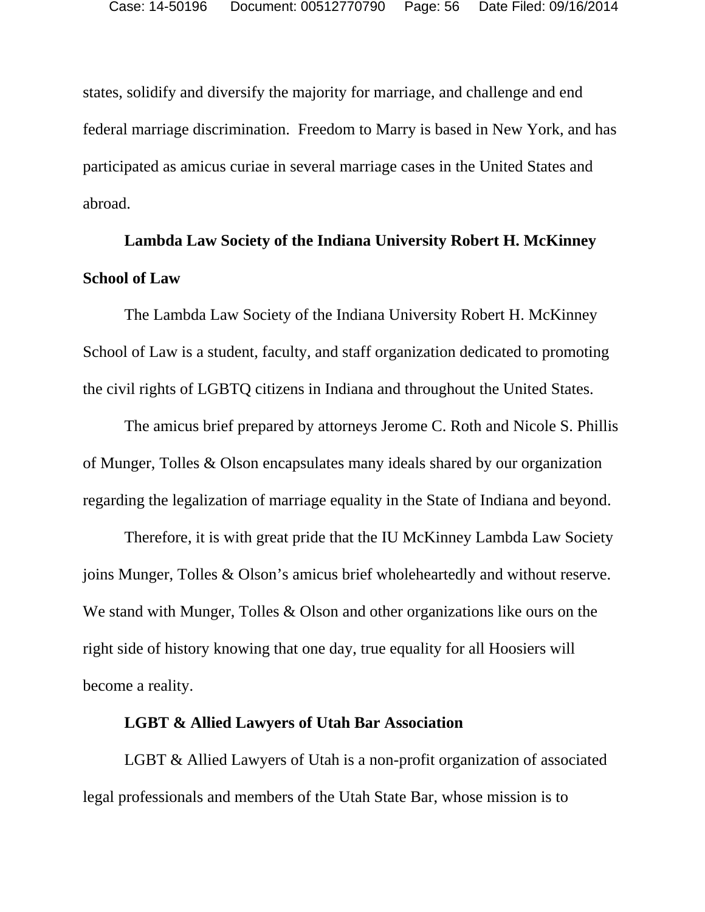states, solidify and diversify the majority for marriage, and challenge and end federal marriage discrimination. Freedom to Marry is based in New York, and has participated as amicus curiae in several marriage cases in the United States and abroad.

# **Lambda Law Society of the Indiana University Robert H. McKinney School of Law**

The Lambda Law Society of the Indiana University Robert H. McKinney School of Law is a student, faculty, and staff organization dedicated to promoting the civil rights of LGBTQ citizens in Indiana and throughout the United States.

The amicus brief prepared by attorneys Jerome C. Roth and Nicole S. Phillis of Munger, Tolles & Olson encapsulates many ideals shared by our organization regarding the legalization of marriage equality in the State of Indiana and beyond.

Therefore, it is with great pride that the IU McKinney Lambda Law Society joins Munger, Tolles & Olson's amicus brief wholeheartedly and without reserve. We stand with Munger, Tolles & Olson and other organizations like ours on the right side of history knowing that one day, true equality for all Hoosiers will become a reality.

#### **LGBT & Allied Lawyers of Utah Bar Association**

LGBT & Allied Lawyers of Utah is a non-profit organization of associated legal professionals and members of the Utah State Bar, whose mission is to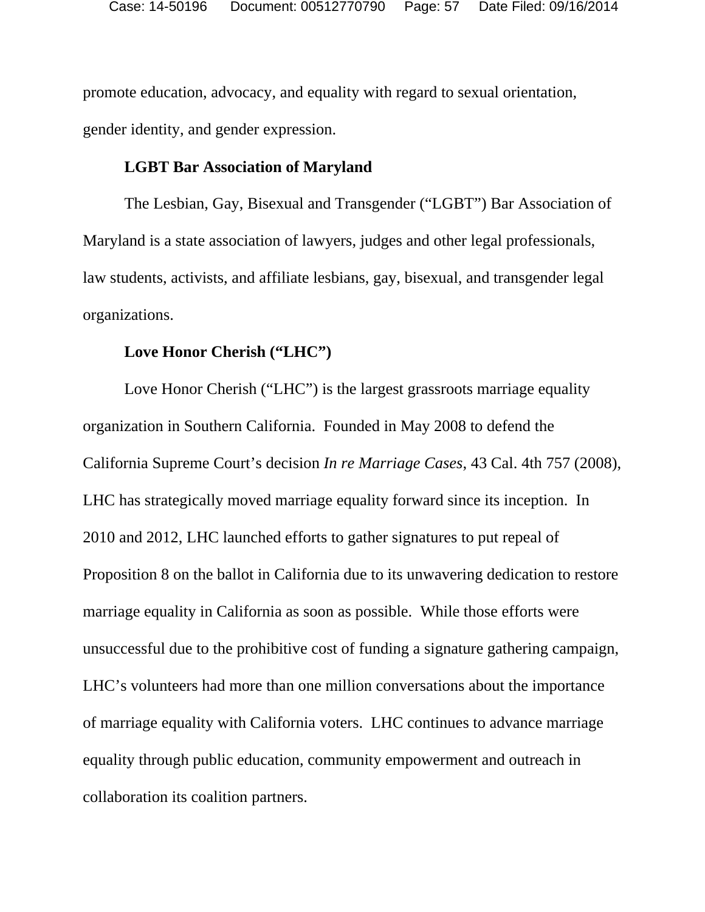promote education, advocacy, and equality with regard to sexual orientation, gender identity, and gender expression.

#### **LGBT Bar Association of Maryland**

The Lesbian, Gay, Bisexual and Transgender ("LGBT") Bar Association of Maryland is a state association of lawyers, judges and other legal professionals, law students, activists, and affiliate lesbians, gay, bisexual, and transgender legal organizations.

# **Love Honor Cherish ("LHC")**

Love Honor Cherish ("LHC") is the largest grassroots marriage equality organization in Southern California. Founded in May 2008 to defend the California Supreme Court's decision *In re Marriage Cases*, 43 Cal. 4th 757 (2008), LHC has strategically moved marriage equality forward since its inception. In 2010 and 2012, LHC launched efforts to gather signatures to put repeal of Proposition 8 on the ballot in California due to its unwavering dedication to restore marriage equality in California as soon as possible. While those efforts were unsuccessful due to the prohibitive cost of funding a signature gathering campaign, LHC's volunteers had more than one million conversations about the importance of marriage equality with California voters. LHC continues to advance marriage equality through public education, community empowerment and outreach in collaboration its coalition partners.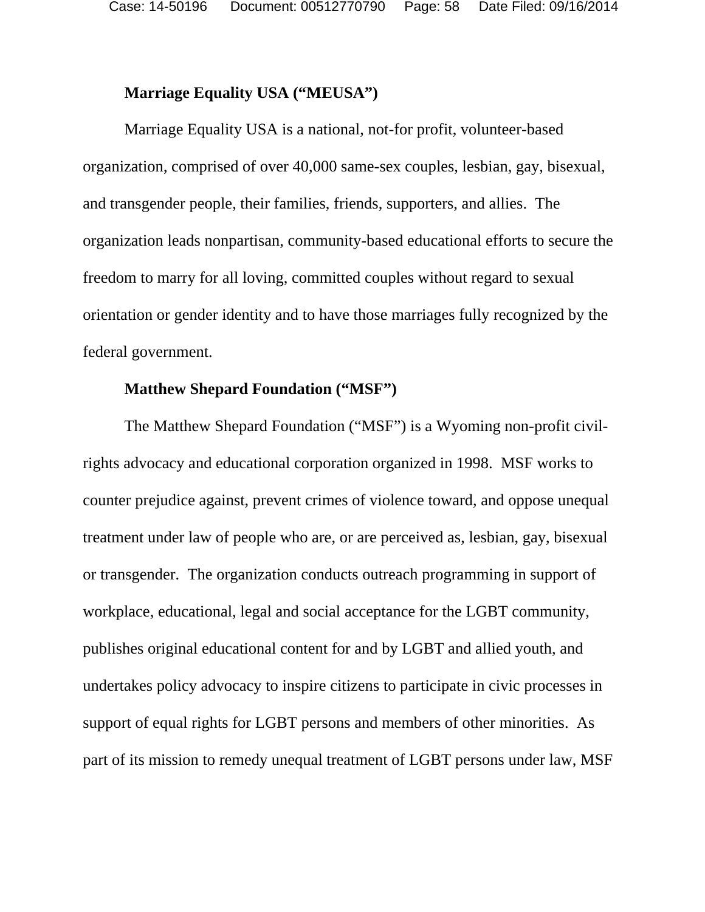Case: 14-50196 Document: 00512770790 Page: 58 Date Filed: 09/16/2014

#### **Marriage Equality USA ("MEUSA")**

Marriage Equality USA is a national, not-for profit, volunteer-based organization, comprised of over 40,000 same-sex couples, lesbian, gay, bisexual, and transgender people, their families, friends, supporters, and allies. The organization leads nonpartisan, community-based educational efforts to secure the freedom to marry for all loving, committed couples without regard to sexual orientation or gender identity and to have those marriages fully recognized by the federal government.

## **Matthew Shepard Foundation ("MSF")**

The Matthew Shepard Foundation ("MSF") is a Wyoming non-profit civilrights advocacy and educational corporation organized in 1998. MSF works to counter prejudice against, prevent crimes of violence toward, and oppose unequal treatment under law of people who are, or are perceived as, lesbian, gay, bisexual or transgender. The organization conducts outreach programming in support of workplace, educational, legal and social acceptance for the LGBT community, publishes original educational content for and by LGBT and allied youth, and undertakes policy advocacy to inspire citizens to participate in civic processes in support of equal rights for LGBT persons and members of other minorities. As part of its mission to remedy unequal treatment of LGBT persons under law, MSF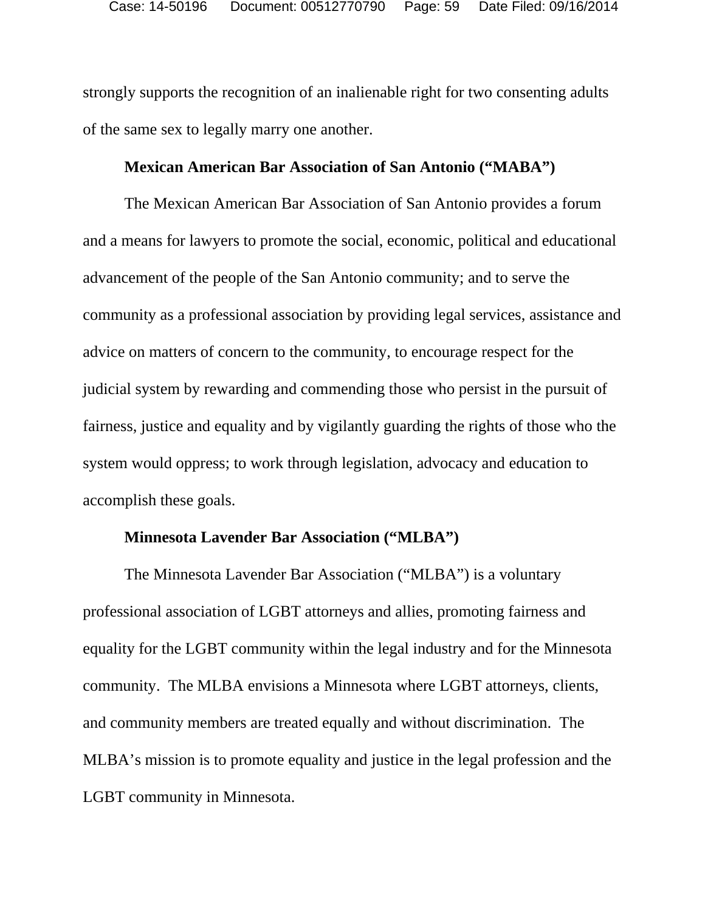strongly supports the recognition of an inalienable right for two consenting adults of the same sex to legally marry one another.

#### **Mexican American Bar Association of San Antonio ("MABA")**

The Mexican American Bar Association of San Antonio provides a forum and a means for lawyers to promote the social, economic, political and educational advancement of the people of the San Antonio community; and to serve the community as a professional association by providing legal services, assistance and advice on matters of concern to the community, to encourage respect for the judicial system by rewarding and commending those who persist in the pursuit of fairness, justice and equality and by vigilantly guarding the rights of those who the system would oppress; to work through legislation, advocacy and education to accomplish these goals.

### **Minnesota Lavender Bar Association ("MLBA")**

The Minnesota Lavender Bar Association ("MLBA") is a voluntary professional association of LGBT attorneys and allies, promoting fairness and equality for the LGBT community within the legal industry and for the Minnesota community. The MLBA envisions a Minnesota where LGBT attorneys, clients, and community members are treated equally and without discrimination. The MLBA's mission is to promote equality and justice in the legal profession and the LGBT community in Minnesota.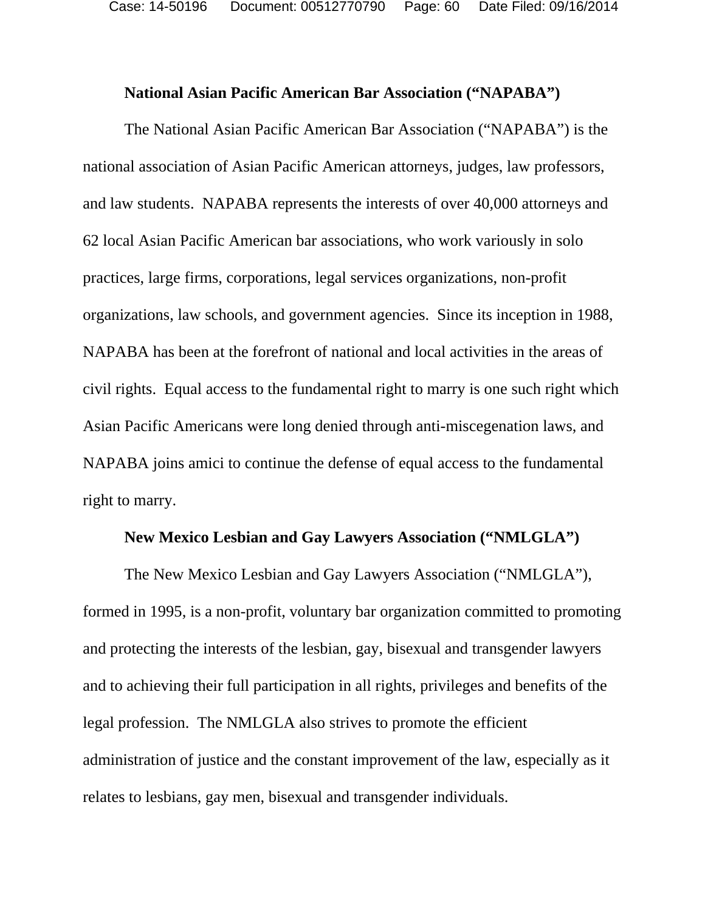#### **National Asian Pacific American Bar Association ("NAPABA")**

The National Asian Pacific American Bar Association ("NAPABA") is the national association of Asian Pacific American attorneys, judges, law professors, and law students. NAPABA represents the interests of over 40,000 attorneys and 62 local Asian Pacific American bar associations, who work variously in solo practices, large firms, corporations, legal services organizations, non-profit organizations, law schools, and government agencies. Since its inception in 1988, NAPABA has been at the forefront of national and local activities in the areas of civil rights. Equal access to the fundamental right to marry is one such right which Asian Pacific Americans were long denied through anti-miscegenation laws, and NAPABA joins amici to continue the defense of equal access to the fundamental right to marry.

## **New Mexico Lesbian and Gay Lawyers Association ("NMLGLA")**

The New Mexico Lesbian and Gay Lawyers Association ("NMLGLA"), formed in 1995, is a non-profit, voluntary bar organization committed to promoting and protecting the interests of the lesbian, gay, bisexual and transgender lawyers and to achieving their full participation in all rights, privileges and benefits of the legal profession. The NMLGLA also strives to promote the efficient administration of justice and the constant improvement of the law, especially as it relates to lesbians, gay men, bisexual and transgender individuals.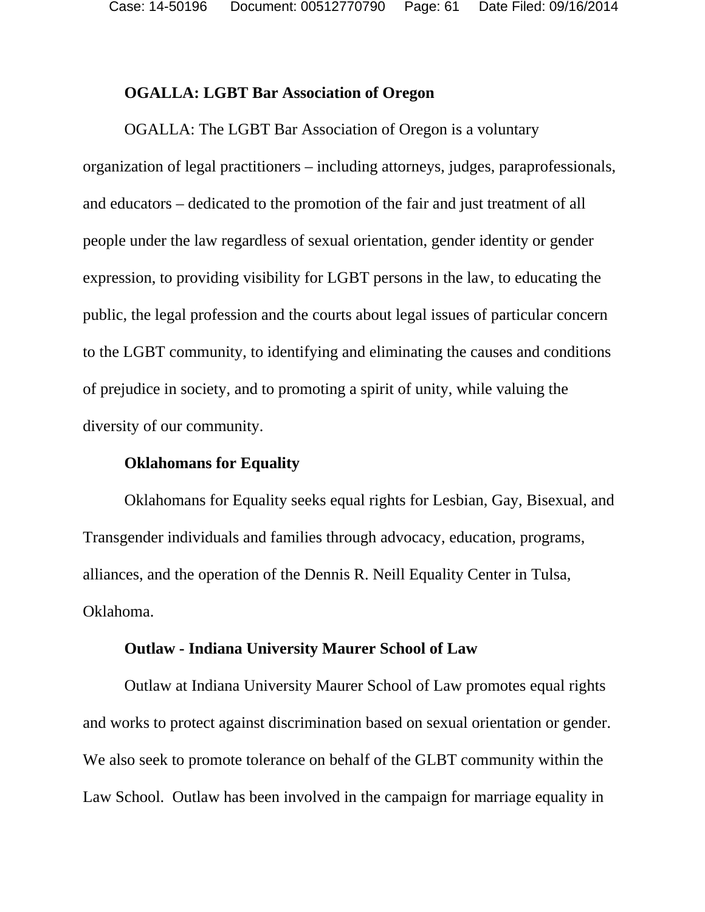Case: 14-50196 Document: 00512770790 Page: 61 Date Filed: 09/16/2014

#### **OGALLA: LGBT Bar Association of Oregon**

OGALLA: The LGBT Bar Association of Oregon is a voluntary organization of legal practitioners – including attorneys, judges, paraprofessionals, and educators – dedicated to the promotion of the fair and just treatment of all people under the law regardless of sexual orientation, gender identity or gender expression, to providing visibility for LGBT persons in the law, to educating the public, the legal profession and the courts about legal issues of particular concern to the LGBT community, to identifying and eliminating the causes and conditions of prejudice in society, and to promoting a spirit of unity, while valuing the diversity of our community.

#### **Oklahomans for Equality**

Oklahomans for Equality seeks equal rights for Lesbian, Gay, Bisexual, and Transgender individuals and families through advocacy, education, programs, alliances, and the operation of the Dennis R. Neill Equality Center in Tulsa, Oklahoma.

#### **Outlaw - Indiana University Maurer School of Law**

Outlaw at Indiana University Maurer School of Law promotes equal rights and works to protect against discrimination based on sexual orientation or gender. We also seek to promote tolerance on behalf of the GLBT community within the Law School. Outlaw has been involved in the campaign for marriage equality in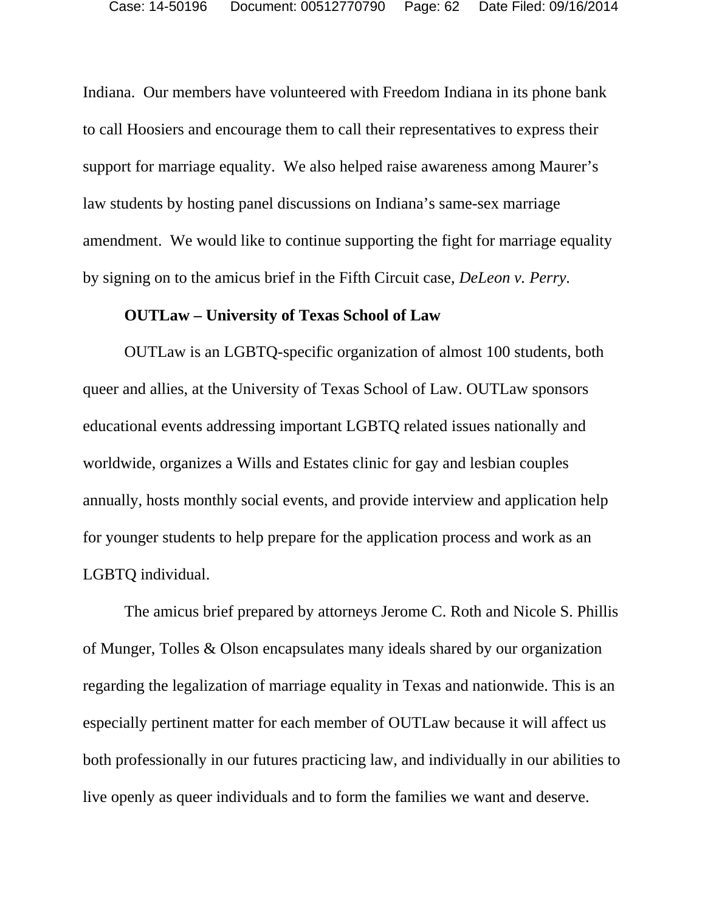Indiana. Our members have volunteered with Freedom Indiana in its phone bank to call Hoosiers and encourage them to call their representatives to express their support for marriage equality. We also helped raise awareness among Maurer's law students by hosting panel discussions on Indiana's same-sex marriage amendment. We would like to continue supporting the fight for marriage equality by signing on to the amicus brief in the Fifth Circuit case, *DeLeon v. Perry*.

#### **OUTLaw – University of Texas School of Law**

OUTLaw is an LGBTQ-specific organization of almost 100 students, both queer and allies, at the University of Texas School of Law. OUTLaw sponsors educational events addressing important LGBTQ related issues nationally and worldwide, organizes a Wills and Estates clinic for gay and lesbian couples annually, hosts monthly social events, and provide interview and application help for younger students to help prepare for the application process and work as an LGBTQ individual.

The amicus brief prepared by attorneys Jerome C. Roth and Nicole S. Phillis of Munger, Tolles & Olson encapsulates many ideals shared by our organization regarding the legalization of marriage equality in Texas and nationwide. This is an especially pertinent matter for each member of OUTLaw because it will affect us both professionally in our futures practicing law, and individually in our abilities to live openly as queer individuals and to form the families we want and deserve.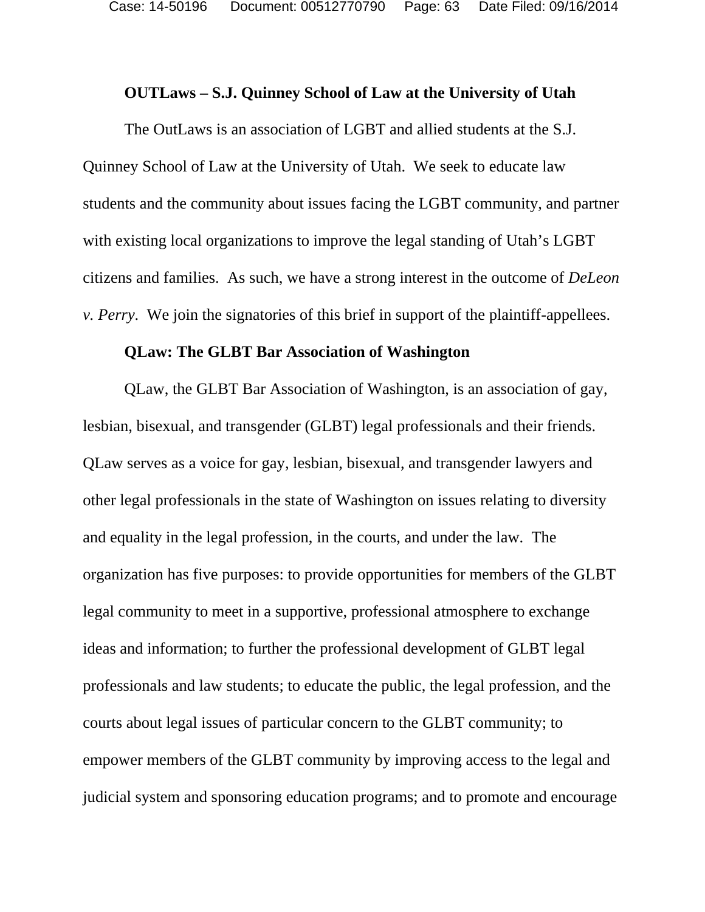#### **OUTLaws – S.J. Quinney School of Law at the University of Utah**

The OutLaws is an association of LGBT and allied students at the S.J. Quinney School of Law at the University of Utah. We seek to educate law students and the community about issues facing the LGBT community, and partner with existing local organizations to improve the legal standing of Utah's LGBT citizens and families. As such, we have a strong interest in the outcome of *DeLeon v. Perry*. We join the signatories of this brief in support of the plaintiff-appellees.

#### **QLaw: The GLBT Bar Association of Washington**

QLaw, the GLBT Bar Association of Washington, is an association of gay, lesbian, bisexual, and transgender (GLBT) legal professionals and their friends. QLaw serves as a voice for gay, lesbian, bisexual, and transgender lawyers and other legal professionals in the state of Washington on issues relating to diversity and equality in the legal profession, in the courts, and under the law. The organization has five purposes: to provide opportunities for members of the GLBT legal community to meet in a supportive, professional atmosphere to exchange ideas and information; to further the professional development of GLBT legal professionals and law students; to educate the public, the legal profession, and the courts about legal issues of particular concern to the GLBT community; to empower members of the GLBT community by improving access to the legal and judicial system and sponsoring education programs; and to promote and encourage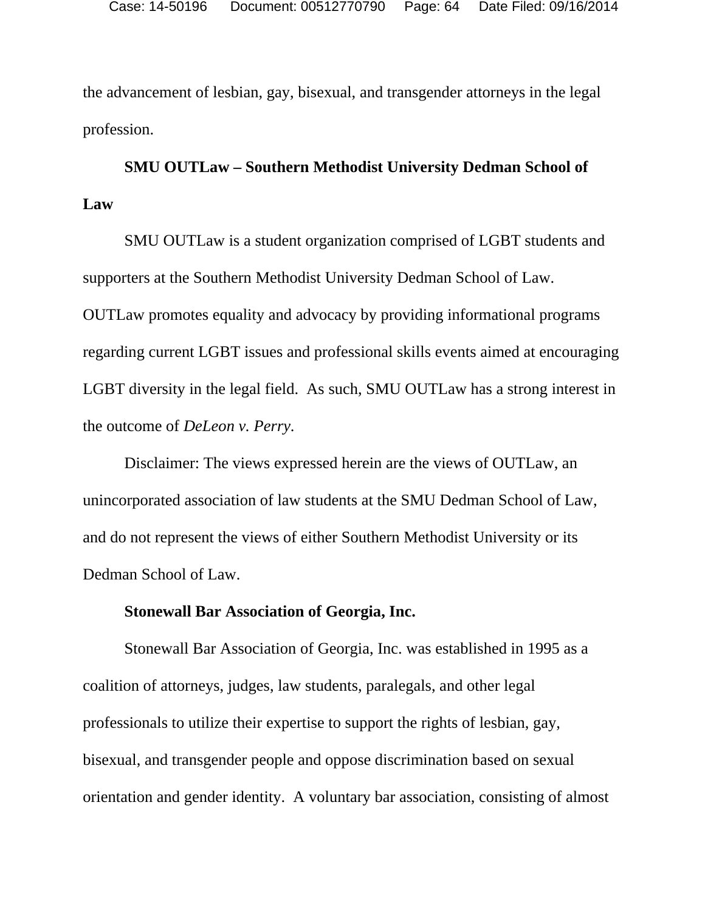the advancement of lesbian, gay, bisexual, and transgender attorneys in the legal profession.

# **SMU OUTLaw – Southern Methodist University Dedman School of Law**

SMU OUTLaw is a student organization comprised of LGBT students and supporters at the Southern Methodist University Dedman School of Law. OUTLaw promotes equality and advocacy by providing informational programs regarding current LGBT issues and professional skills events aimed at encouraging LGBT diversity in the legal field. As such, SMU OUTLaw has a strong interest in the outcome of *DeLeon v. Perry*.

Disclaimer: The views expressed herein are the views of OUTLaw, an unincorporated association of law students at the SMU Dedman School of Law, and do not represent the views of either Southern Methodist University or its Dedman School of Law.

#### **Stonewall Bar Association of Georgia, Inc.**

Stonewall Bar Association of Georgia, Inc. was established in 1995 as a coalition of attorneys, judges, law students, paralegals, and other legal professionals to utilize their expertise to support the rights of lesbian, gay, bisexual, and transgender people and oppose discrimination based on sexual orientation and gender identity. A voluntary bar association, consisting of almost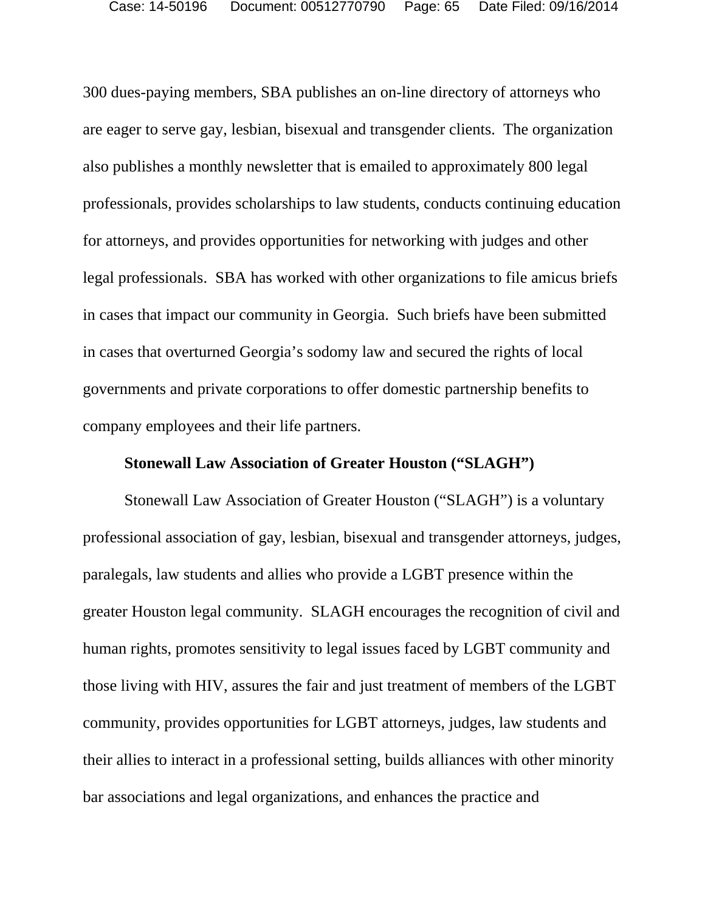300 dues-paying members, SBA publishes an on-line directory of attorneys who are eager to serve gay, lesbian, bisexual and transgender clients. The organization also publishes a monthly newsletter that is emailed to approximately 800 legal professionals, provides scholarships to law students, conducts continuing education for attorneys, and provides opportunities for networking with judges and other legal professionals. SBA has worked with other organizations to file amicus briefs in cases that impact our community in Georgia. Such briefs have been submitted in cases that overturned Georgia's sodomy law and secured the rights of local governments and private corporations to offer domestic partnership benefits to company employees and their life partners.

### **Stonewall Law Association of Greater Houston ("SLAGH")**

Stonewall Law Association of Greater Houston ("SLAGH") is a voluntary professional association of gay, lesbian, bisexual and transgender attorneys, judges, paralegals, law students and allies who provide a LGBT presence within the greater Houston legal community. SLAGH encourages the recognition of civil and human rights, promotes sensitivity to legal issues faced by LGBT community and those living with HIV, assures the fair and just treatment of members of the LGBT community, provides opportunities for LGBT attorneys, judges, law students and their allies to interact in a professional setting, builds alliances with other minority bar associations and legal organizations, and enhances the practice and